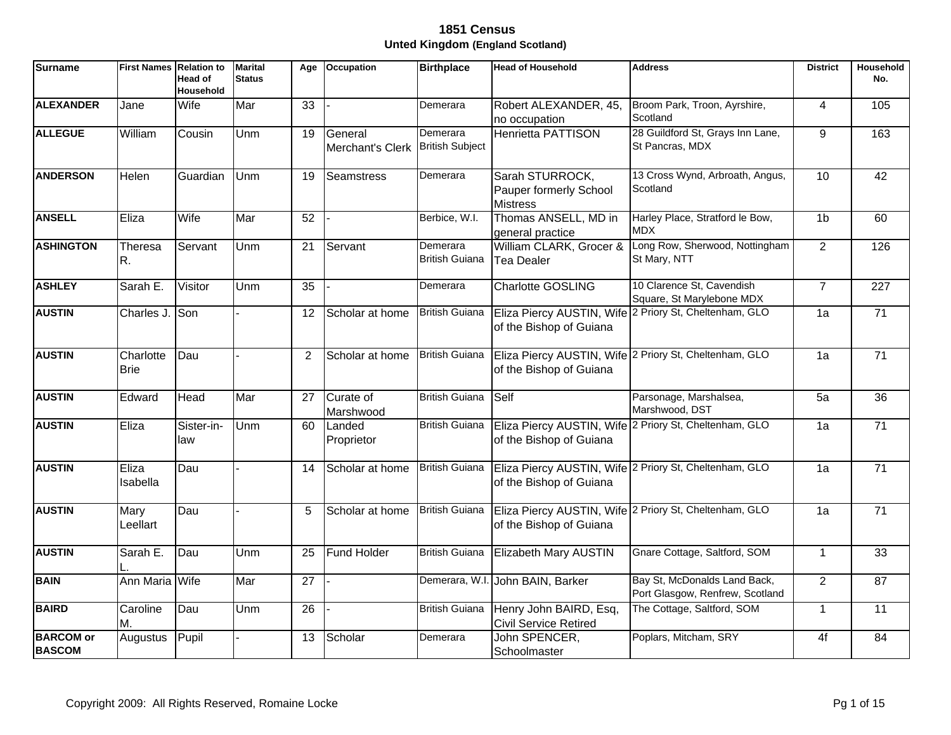| <b>Surname</b>                    | First Names Relation to  | Head of<br><b>Household</b> | <b>Marital</b><br><b>Status</b> | Age             | <b>Occupation</b>           | <b>Birthplace</b>                  | <b>Head of Household</b>                                     | <b>Address</b>                                                  | <b>District</b> | Household<br>No. |
|-----------------------------------|--------------------------|-----------------------------|---------------------------------|-----------------|-----------------------------|------------------------------------|--------------------------------------------------------------|-----------------------------------------------------------------|-----------------|------------------|
| <b>ALEXANDER</b>                  | Jane                     | Wife                        | Mar                             | $\overline{33}$ |                             | Demerara                           | Robert ALEXANDER, 45,<br>no occupation                       | Broom Park, Troon, Ayrshire,<br>Scotland                        | $\overline{4}$  | 105              |
| <b>ALLEGUE</b>                    | William                  | Cousin                      | Unm                             | 19              | General<br>Merchant's Clerk | Demerara<br><b>British Subject</b> | <b>Henrietta PATTISON</b>                                    | 28 Guildford St, Grays Inn Lane,<br>St Pancras, MDX             | 9               | 163              |
| <b>ANDERSON</b>                   | Helen                    | Guardian                    | Unm                             | 19              | Seamstress                  | Demerara                           | Sarah STURROCK,<br>Pauper formerly School<br><b>Mistress</b> | 13 Cross Wynd, Arbroath, Angus,<br>Scotland                     | 10              | 42               |
| <b>ANSELL</b>                     | Eliza                    | Wife                        | Mar                             | $\overline{52}$ |                             | Berbice, W.I.                      | Thomas ANSELL, MD in<br>general practice                     | Harley Place, Stratford le Bow,<br><b>MDX</b>                   | 1 <sub>b</sub>  | 60               |
| <b>ASHINGTON</b>                  | Theresa<br>R.            | Servant                     | Unm                             | 21              | Servant                     | Demerara<br><b>British Guiana</b>  | William CLARK, Grocer &<br><b>Tea Dealer</b>                 | Long Row, Sherwood, Nottingham<br>St Mary, NTT                  | 2               | 126              |
| <b>ASHLEY</b>                     | Sarah E.                 | Visitor                     | Unm                             | 35              |                             | Demerara                           | <b>Charlotte GOSLING</b>                                     | 10 Clarence St, Cavendish<br>Square, St Marylebone MDX          | $\overline{7}$  | 227              |
| <b>AUSTIN</b>                     | Charles J. Son           |                             |                                 | 12              | Scholar at home             | <b>British Guiana</b>              | of the Bishop of Guiana                                      | Eliza Piercy AUSTIN, Wife 2 Priory St, Cheltenham, GLO          | 1a              | 71               |
| <b>AUSTIN</b>                     | Charlotte<br><b>Brie</b> | Dau                         |                                 | 2               | Scholar at home             | <b>British Guiana</b>              | of the Bishop of Guiana                                      | Eliza Piercy AUSTIN, Wife 2 Priory St, Cheltenham, GLO          | 1a              | $\overline{71}$  |
| <b>AUSTIN</b>                     | Edward                   | Head                        | Mar                             | 27              | Curate of<br>Marshwood      | <b>British Guiana</b>              | <b>Self</b>                                                  | Parsonage, Marshalsea,<br>Marshwood, DST                        | $\overline{5a}$ | $\overline{36}$  |
| <b>AUSTIN</b>                     | Eliza                    | Sister-in-<br>law           | Unm                             | 60              | Landed<br>Proprietor        | <b>British Guiana</b>              | of the Bishop of Guiana                                      | Eliza Piercy AUSTIN, Wife 2 Priory St, Cheltenham, GLO          | 1a              | 71               |
| <b>AUSTIN</b>                     | Eliza<br>Isabella        | Dau                         |                                 | 14              | Scholar at home             | <b>British Guiana</b>              | of the Bishop of Guiana                                      | Eliza Piercy AUSTIN, Wife 2 Priory St, Cheltenham, GLO          | 1a              | 71               |
| <b>AUSTIN</b>                     | Mary<br>Leellart         | Dau                         |                                 | 5               | Scholar at home             | <b>British Guiana</b>              | of the Bishop of Guiana                                      | Eliza Piercy AUSTIN, Wife 2 Priory St, Cheltenham, GLO          | 1a              | $\overline{71}$  |
| <b>AUSTIN</b>                     | Sarah E.                 | Dau                         | Unm                             | 25              | <b>Fund Holder</b>          | <b>British Guiana</b>              | Elizabeth Mary AUSTIN                                        | Gnare Cottage, Saltford, SOM                                    | $\mathbf{1}$    | $\overline{33}$  |
| <b>BAIN</b>                       | Ann Maria Wife           |                             | Mar                             | 27              |                             |                                    | Demerara, W.I. John BAIN, Barker                             | Bay St, McDonalds Land Back,<br>Port Glasgow, Renfrew, Scotland | $\overline{2}$  | 87               |
| <b>BAIRD</b>                      | Caroline<br>М.           | Dau                         | Unm                             | $\overline{26}$ |                             | <b>British Guiana</b>              | Henry John BAIRD, Esq,<br><b>Civil Service Retired</b>       | The Cottage, Saltford, SOM                                      | $\mathbf{1}$    | 11               |
| <b>BARCOM</b> or<br><b>BASCOM</b> | Augustus                 | Pupil                       |                                 | 13              | Scholar                     | Demerara                           | John SPENCER,<br>Schoolmaster                                | Poplars, Mitcham, SRY                                           | 4f              | 84               |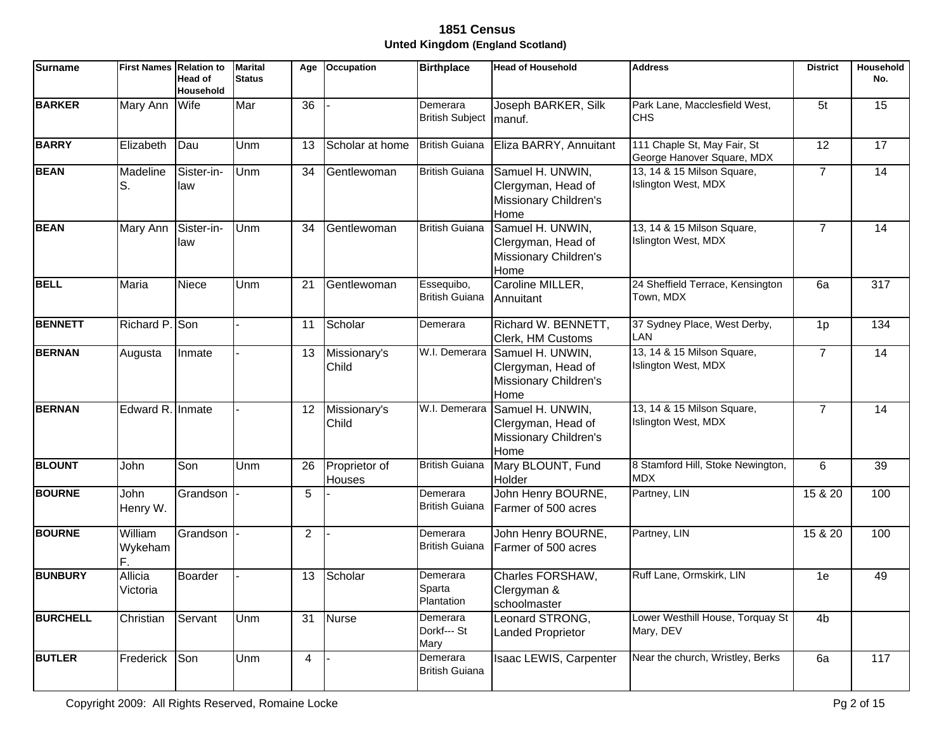| <b>Surname</b>  | <b>First Names Relation to</b> | <b>Head of</b><br><b>Household</b> | <b>Marital</b><br><b>Status</b> | Age            | <b>Occupation</b>              | <b>Birthplace</b>                   | <b>Head of Household</b>                                                              | <b>Address</b>                                            | <b>District</b> | Household<br>No. |
|-----------------|--------------------------------|------------------------------------|---------------------------------|----------------|--------------------------------|-------------------------------------|---------------------------------------------------------------------------------------|-----------------------------------------------------------|-----------------|------------------|
| <b>BARKER</b>   | Mary Ann                       | Wife                               | Mar                             | 36             |                                | Demerara<br><b>British Subject</b>  | Joseph BARKER, Silk<br>manuf.                                                         | Park Lane, Macclesfield West,<br><b>CHS</b>               | 5 <sub>t</sub>  | 15               |
| <b>BARRY</b>    | Elizabeth                      | Dau                                | Unm                             | 13             | Scholar at home                | <b>British Guiana</b>               | Eliza BARRY, Annuitant                                                                | 111 Chaple St, May Fair, St<br>George Hanover Square, MDX | 12              | 17               |
| <b>BEAN</b>     | Madeline<br>lS.                | Sister-in-<br>law                  | Unm                             | 34             | Gentlewoman                    | <b>British Guiana</b>               | Samuel H. UNWIN,<br>Clergyman, Head of<br>Missionary Children's<br>Home               | 13, 14 & 15 Milson Square,<br>Islington West, MDX         | $\overline{7}$  | 14               |
| <b>BEAN</b>     | Mary Ann                       | Sister-in-<br>law                  | Unm                             | 34             | Gentlewoman                    | <b>British Guiana</b>               | Samuel H. UNWIN,<br>Clergyman, Head of<br>Missionary Children's<br>Home               | 13, 14 & 15 Milson Square,<br>Islington West, MDX         | $\overline{7}$  | $\overline{14}$  |
| <b>BELL</b>     | Maria                          | Niece                              | Unm                             | 21             | Gentlewoman                    | Essequibo,<br><b>British Guiana</b> | Caroline MILLER,<br>Annuitant                                                         | 24 Sheffield Terrace, Kensington<br>Town, MDX             | 6a              | 317              |
| <b>BENNETT</b>  | Richard P. Son                 |                                    |                                 | 11             | Scholar                        | Demerara                            | Richard W. BENNETT,<br>Clerk, HM Customs                                              | 37 Sydney Place, West Derby,<br>LAN                       | 1 <sub>p</sub>  | 134              |
| <b>BERNAN</b>   | Augusta                        | Inmate                             |                                 | 13             | Missionary's<br>Child          |                                     | W.I. Demerara Samuel H. UNWIN,<br>Clergyman, Head of<br>Missionary Children's<br>Home | 13, 14 & 15 Milson Square,<br>Islington West, MDX         | $\overline{7}$  | 14               |
| <b>BERNAN</b>   | Edward R. Inmate               |                                    |                                 | 12             | Missionary's<br>Child          | W.I. Demerara                       | Samuel H. UNWIN,<br>Clergyman, Head of<br>Missionary Children's<br>Home               | 13, 14 & 15 Milson Square,<br>Islington West, MDX         | $\overline{7}$  | 14               |
| <b>BLOUNT</b>   | John                           | Son                                | Unm                             | 26             | Proprietor of<br><b>Houses</b> | <b>British Guiana</b>               | Mary BLOUNT, Fund<br>Holder                                                           | 8 Stamford Hill, Stoke Newington,<br><b>MDX</b>           | 6               | 39               |
| <b>BOURNE</b>   | John<br>Henry W.               | Grandson                           |                                 | 5              |                                | Demerara<br><b>British Guiana</b>   | John Henry BOURNE,<br>Farmer of 500 acres                                             | Partney, LIN                                              | 15 & 20         | 100              |
| <b>BOURNE</b>   | William<br>Wykeham             | Grandson                           |                                 | 2              |                                | Demerara<br><b>British Guiana</b>   | John Henry BOURNE,<br>Farmer of 500 acres                                             | Partney, LIN                                              | 15 & 20         | 100              |
| <b>BUNBURY</b>  | Allicia<br>Victoria            | Boarder                            |                                 | 13             | Scholar                        | Demerara<br>Sparta<br>Plantation    | Charles FORSHAW,<br>Clergyman &<br>schoolmaster                                       | Ruff Lane, Ormskirk, LIN                                  | 1e              | 49               |
| <b>BURCHELL</b> | Christian                      | Servant                            | Unm                             | 31             | Nurse                          | Demerara<br>Dorkf--- St<br>Mary     | Leonard STRONG,<br><b>Landed Proprietor</b>                                           | Lower Westhill House, Torquay St<br>Mary, DEV             | 4b              |                  |
| <b>BUTLER</b>   | Frederick                      | Son                                | Unm                             | $\overline{4}$ |                                | Demerara<br><b>British Guiana</b>   | Isaac LEWIS, Carpenter                                                                | Near the church, Wristley, Berks                          | 6a              | 117              |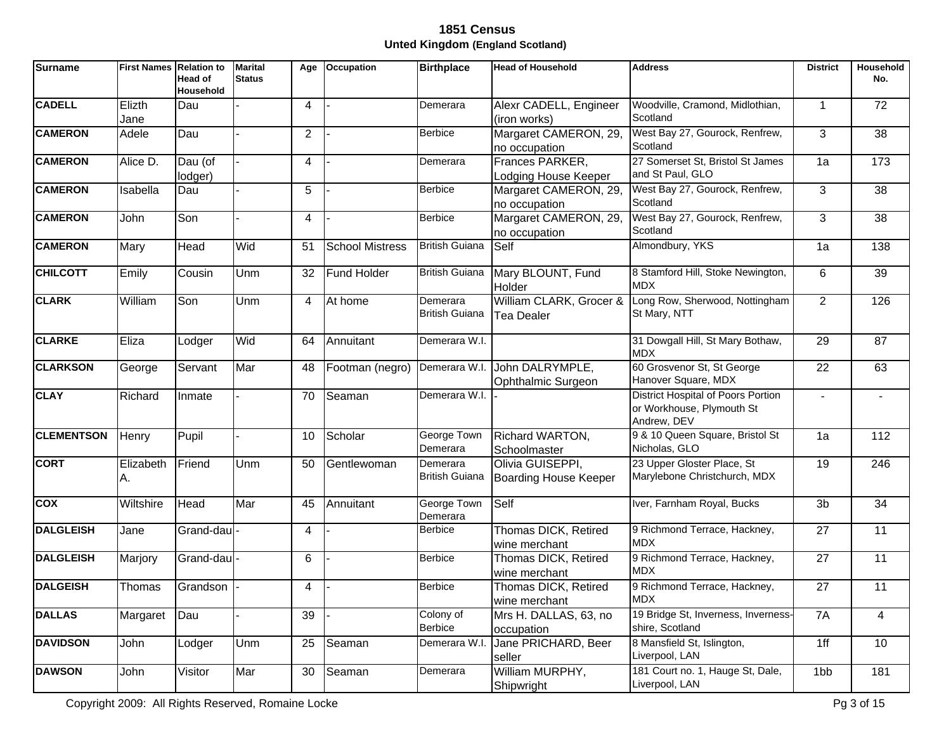| <b>Surname</b>    | <b>First Names Relation to</b> | Head of<br><b>Household</b> | <b>Marital</b><br><b>Status</b> | Age            | <b>Occupation</b>      | <b>Birthplace</b>                 | <b>Head of Household</b>                            | <b>Address</b>                                                                        | <b>District</b> | Household<br>No. |
|-------------------|--------------------------------|-----------------------------|---------------------------------|----------------|------------------------|-----------------------------------|-----------------------------------------------------|---------------------------------------------------------------------------------------|-----------------|------------------|
| <b>CADELL</b>     | Elizth<br>Jane                 | Dau                         |                                 | 4              |                        | Demerara                          | Alexr CADELL, Engineer<br>(iron works)              | Woodville, Cramond, Midlothian,<br>Scotland                                           | $\mathbf{1}$    | 72               |
| <b>CAMERON</b>    | Adele                          | Dau                         |                                 | $\overline{2}$ |                        | <b>Berbice</b>                    | Margaret CAMERON, 29,<br>no occupation              | West Bay 27, Gourock, Renfrew,<br>Scotland                                            | 3               | 38               |
| <b>CAMERON</b>    | Alice D.                       | Dau (of<br>lodger)          |                                 | 4              |                        | Demerara                          | Frances PARKER,<br>Lodging House Keeper             | 27 Somerset St, Bristol St James<br>and St Paul, GLO                                  | 1a              | 173              |
| <b>CAMERON</b>    | Isabella                       | Dau                         |                                 | 5              |                        | <b>Berbice</b>                    | Margaret CAMERON, 29,<br>no occupation              | West Bay 27, Gourock, Renfrew,<br>Scotland                                            | 3               | 38               |
| <b>CAMERON</b>    | John                           | Son                         |                                 | 4              |                        | <b>Berbice</b>                    | Margaret CAMERON, 29,<br>no occupation              | West Bay 27, Gourock, Renfrew,<br>Scotland                                            | 3               | 38               |
| <b>CAMERON</b>    | Mary                           | <b>Head</b>                 | Wid                             | 51             | <b>School Mistress</b> | <b>British Guiana</b>             | Self                                                | Almondbury, YKS                                                                       | 1a              | 138              |
| <b>CHILCOTT</b>   | Emily                          | Cousin                      | Unm                             | 32             | Fund Holder            | <b>British Guiana</b>             | Mary BLOUNT, Fund<br>Holder                         | 8 Stamford Hill, Stoke Newington,<br><b>MDX</b>                                       | 6               | 39               |
| <b>CLARK</b>      | William                        | Son                         | Unm                             | 4              | At home                | Demerara<br><b>British Guiana</b> | William CLARK, Grocer &<br><b>Tea Dealer</b>        | Long Row, Sherwood, Nottingham<br>St Mary, NTT                                        | $\overline{2}$  | 126              |
| <b>CLARKE</b>     | Eliza                          | Lodger                      | Wid                             | 64             | Annuitant              | Demerara W.I.                     |                                                     | 31 Dowgall Hill, St Mary Bothaw,<br><b>MDX</b>                                        | 29              | 87               |
| <b>CLARKSON</b>   | George                         | Servant                     | Mar                             | 48             | Footman (negro)        |                                   | Demerara W.I. John DALRYMPLE,<br>Ophthalmic Surgeon | 60 Grosvenor St, St George<br>Hanover Square, MDX                                     | 22              | 63               |
| <b>CLAY</b>       | Richard                        | Inmate                      |                                 | 70             | Seaman                 | Demerara W.I.                     |                                                     | <b>District Hospital of Poors Portion</b><br>or Workhouse, Plymouth St<br>Andrew, DEV | $\overline{a}$  |                  |
| <b>CLEMENTSON</b> | Henry                          | Pupil                       |                                 | 10             | Scholar                | George Town<br>Demerara           | Richard WARTON,<br>Schoolmaster                     | 9 & 10 Queen Square, Bristol St<br>Nicholas, GLO                                      | 1a              | 112              |
| <b>CORT</b>       | Elizabeth<br>A.                | Friend                      | Unm                             | 50             | Gentlewoman            | Demerara<br><b>British Guiana</b> | Olivia GUISEPPI,<br><b>Boarding House Keeper</b>    | 23 Upper Gloster Place, St<br>Marylebone Christchurch, MDX                            | 19              | 246              |
| <b>COX</b>        | Wiltshire                      | Head                        | Mar                             | 45             | Annuitant              | George Town<br>Demerara           | Self                                                | Iver, Farnham Royal, Bucks                                                            | 3b              | 34               |
| <b>DALGLEISH</b>  | Jane                           | Grand-dau                   |                                 | 4              |                        | <b>Berbice</b>                    | Thomas DICK, Retired<br>wine merchant               | 9 Richmond Terrace, Hackney,<br><b>MDX</b>                                            | 27              | 11               |
| <b>DALGLEISH</b>  | Marjory                        | Grand-dau                   |                                 | 6              |                        | <b>Berbice</b>                    | Thomas DICK, Retired<br>wine merchant               | 9 Richmond Terrace, Hackney,<br><b>MDX</b>                                            | 27              | 11               |
| <b>DALGEISH</b>   | Thomas                         | Grandson                    |                                 | 4              |                        | <b>Berbice</b>                    | Thomas DICK, Retired<br>wine merchant               | 9 Richmond Terrace, Hackney,<br><b>MDX</b>                                            | 27              | 11               |
| <b>DALLAS</b>     | Margaret                       | Dau                         |                                 | 39             |                        | Colony of<br><b>Berbice</b>       | Mrs H. DALLAS, 63, no<br>occupation                 | 19 Bridge St, Inverness, Inverness-<br>shire, Scotland                                | 7A              | 4                |
| <b>DAVIDSON</b>   | John                           | Lodger                      | Unm                             | 25             | Seaman                 | Demerara W.I.                     | Jane PRICHARD, Beer<br>seller                       | 8 Mansfield St, Islington,<br>Liverpool, LAN                                          | 1ff             | 10               |
| <b>DAWSON</b>     | John                           | Visitor                     | Mar                             | 30             | Seaman                 | Demerara                          | William MURPHY,<br>Shipwright                       | 181 Court no. 1, Hauge St, Dale,<br>Liverpool, LAN                                    | 1 <sub>bb</sub> | 181              |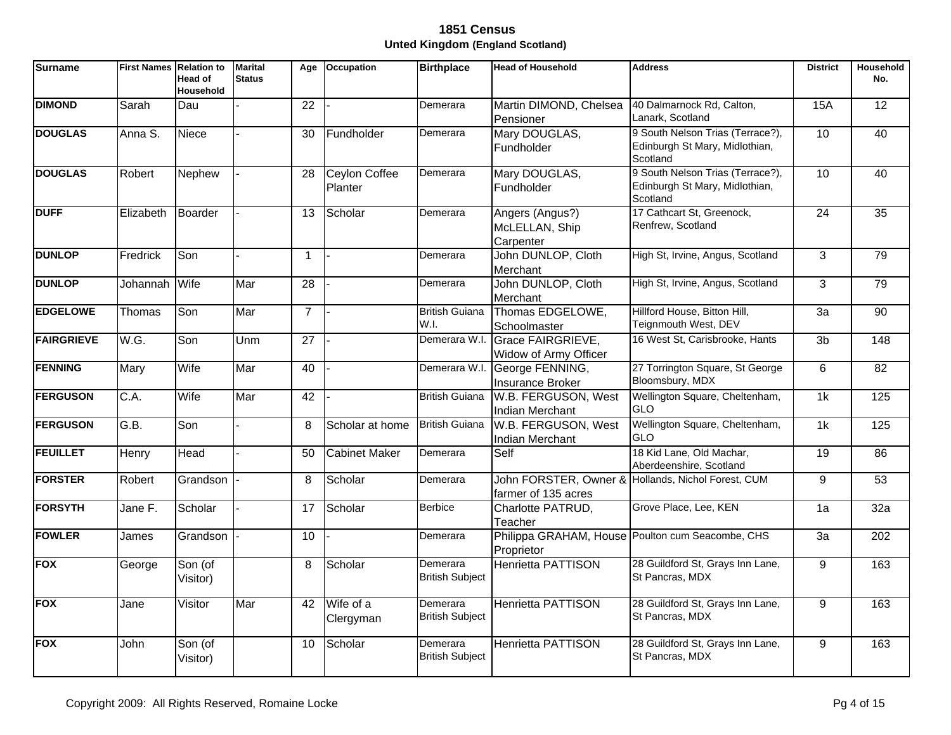| <b>Surname</b>    | <b>First Names Relation to</b> | <b>Head of</b><br><b>Household</b> | <b>Marital</b><br><b>Status</b> | Age             | <b>Occupation</b>               | <b>Birthplace</b>                  | <b>Head of Household</b>                          | <b>Address</b>                                                                 | <b>District</b> | Household<br>No. |
|-------------------|--------------------------------|------------------------------------|---------------------------------|-----------------|---------------------------------|------------------------------------|---------------------------------------------------|--------------------------------------------------------------------------------|-----------------|------------------|
| <b>DIMOND</b>     | Sarah                          | Dau                                |                                 | 22              |                                 | Demerara                           | Martin DIMOND, Chelsea<br>Pensioner               | 40 Dalmarnock Rd, Calton,<br>Lanark, Scotland                                  | <b>15A</b>      | 12 <sup>2</sup>  |
| <b>DOUGLAS</b>    | Anna S.                        | <b>Niece</b>                       |                                 | 30              | Fundholder                      | Demerara                           | Mary DOUGLAS,<br>Fundholder                       | 9 South Nelson Trias (Terrace?),<br>Edinburgh St Mary, Midlothian,<br>Scotland | 10              | 40               |
| <b>DOUGLAS</b>    | Robert                         | Nephew                             |                                 | 28              | <b>Ceylon Coffee</b><br>Planter | Demerara                           | Mary DOUGLAS,<br><b>Fundholder</b>                | 9 South Nelson Trias (Terrace?),<br>Edinburgh St Mary, Midlothian,<br>Scotland | 10              | 40               |
| <b>DUFF</b>       | Elizabeth                      | Boarder                            |                                 | 13              | Scholar                         | Demerara                           | Angers (Angus?)<br>McLELLAN, Ship<br>Carpenter    | 17 Cathcart St, Greenock,<br>Renfrew, Scotland                                 | $\overline{24}$ | 35               |
| <b>DUNLOP</b>     | Fredrick                       | Son                                |                                 | $\overline{1}$  |                                 | Demerara                           | John DUNLOP, Cloth<br>Merchant                    | High St, Irvine, Angus, Scotland                                               | 3               | 79               |
| <b>DUNLOP</b>     | Johannah                       | Wife                               | Mar                             | 28              |                                 | Demerara                           | John DUNLOP, Cloth<br>Merchant                    | High St, Irvine, Angus, Scotland                                               | 3               | 79               |
| <b>EDGELOWE</b>   | Thomas                         | Son                                | Mar                             | $\overline{7}$  |                                 | <b>British Guiana</b><br>W.I.      | Thomas EDGELOWE,<br>Schoolmaster                  | Hillford House, Bitton Hill,<br>Teignmouth West, DEV                           | $\overline{3a}$ | $\overline{90}$  |
| <b>FAIRGRIEVE</b> | W.G.                           | Son                                | Unm                             | $\overline{27}$ |                                 | Demerara W.I.                      | <b>Grace FAIRGRIEVE,</b><br>Widow of Army Officer | 16 West St, Carisbrooke, Hants                                                 | 3 <sub>b</sub>  | $\overline{148}$ |
| <b>FENNING</b>    | Mary                           | Wife                               | Mar                             | 40              |                                 | Demerara W.I.                      | George FENNING,<br>Insurance Broker               | 27 Torrington Square, St George<br>Bloomsbury, MDX                             | 6               | 82               |
| <b>FERGUSON</b>   | C.A.                           | Wife                               | Mar                             | 42              |                                 | <b>British Guiana</b>              | W.B. FERGUSON, West<br><b>Indian Merchant</b>     | Wellington Square, Cheltenham,<br><b>GLO</b>                                   | 1k              | 125              |
| <b>FERGUSON</b>   | G.B.                           | Son                                |                                 | 8               | Scholar at home                 | <b>British Guiana</b>              | W.B. FERGUSON, West<br>Indian Merchant            | Wellington Square, Cheltenham,<br><b>GLO</b>                                   | 1k              | 125              |
| <b>FEUILLET</b>   | Henry                          | Head                               |                                 | 50              | <b>Cabinet Maker</b>            | Demerara                           | Self                                              | 18 Kid Lane, Old Machar,<br>Aberdeenshire, Scotland                            | 19              | 86               |
| <b>FORSTER</b>    | Robert                         | Grandson                           |                                 | 8               | Scholar                         | Demerara                           | farmer of 135 acres                               | John FORSTER, Owner & Hollands, Nichol Forest, CUM                             | 9               | 53               |
| <b>FORSYTH</b>    | Jane F.                        | Scholar                            |                                 | 17              | Scholar                         | <b>Berbice</b>                     | Charlotte PATRUD,<br>Teacher                      | Grove Place, Lee, KEN                                                          | 1a              | 32a              |
| <b>FOWLER</b>     | James                          | Grandson                           |                                 | 10              |                                 | Demerara                           | Proprietor                                        | Philippa GRAHAM, House Poulton cum Seacombe, CHS                               | 3a              | 202              |
| <b>FOX</b>        | George                         | Son (of<br>Visitor)                |                                 | 8               | Scholar                         | Demerara<br><b>British Subject</b> | <b>Henrietta PATTISON</b>                         | 28 Guildford St, Grays Inn Lane,<br>St Pancras, MDX                            | 9               | 163              |
| <b>FOX</b>        | Jane                           | Visitor                            | Mar                             | 42              | Wife of a<br>Clergyman          | Demerara<br><b>British Subject</b> | Henrietta PATTISON                                | 28 Guildford St, Grays Inn Lane,<br>St Pancras, MDX                            | 9               | 163              |
| <b>FOX</b>        | John                           | Son (of<br>Visitor)                |                                 | 10              | Scholar                         | Demerara<br><b>British Subject</b> | <b>Henrietta PATTISON</b>                         | 28 Guildford St, Grays Inn Lane,<br>St Pancras, MDX                            | 9               | 163              |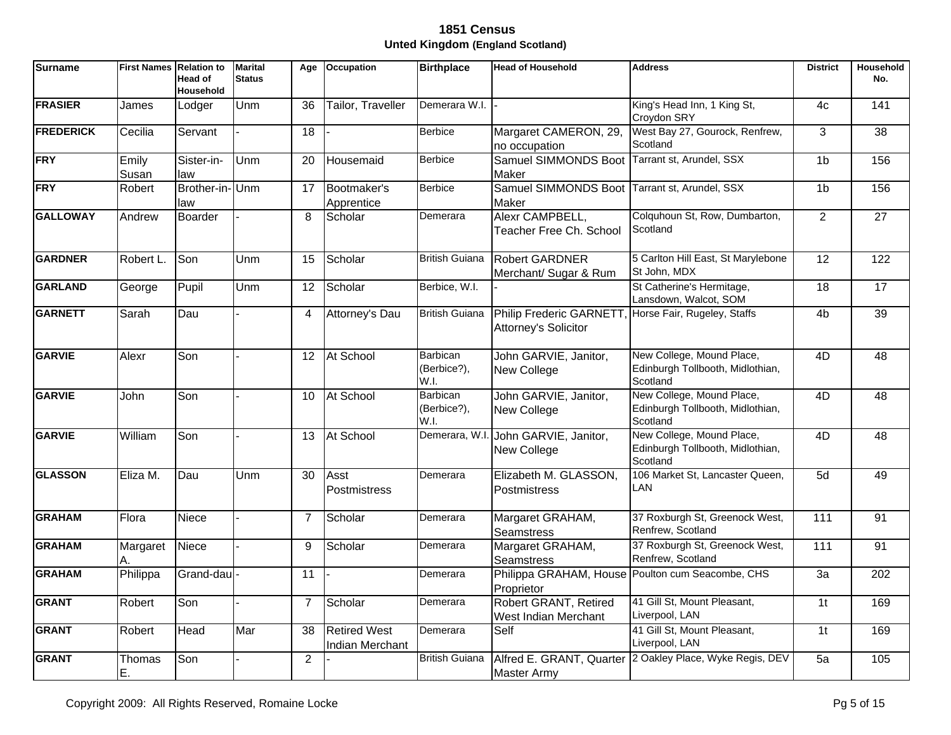| <b>Surname</b>   | <b>First Names Relation to</b> | Head of<br>Household  | <b>Marital</b><br><b>Status</b> | Age             | <b>Occupation</b>                      | <b>Birthplace</b>                      | <b>Head of Household</b>                               | <b>Address</b>                                                            | <b>District</b> | Household<br>No. |
|------------------|--------------------------------|-----------------------|---------------------------------|-----------------|----------------------------------------|----------------------------------------|--------------------------------------------------------|---------------------------------------------------------------------------|-----------------|------------------|
| <b>FRASIER</b>   | James                          | Lodger                | Unm                             | 36              | Tailor, Traveller                      | Demerara W.I.                          |                                                        | King's Head Inn, 1 King St,<br>Croydon SRY                                | 4c              | 141              |
| <b>FREDERICK</b> | Cecilia                        | Servant               |                                 | $\overline{18}$ |                                        | <b>Berbice</b>                         | Margaret CAMERON, 29,<br>no occupation                 | West Bay 27, Gourock, Renfrew,<br>Scotland                                | $\overline{3}$  | $\overline{38}$  |
| <b>FRY</b>       | Emily<br>Susan                 | Sister-in-<br>law     | Unm                             | 20              | Housemaid                              | <b>Berbice</b>                         | <b>Samuel SIMMONDS Boot</b><br>Maker                   | Tarrant st, Arundel, SSX                                                  | 1 <sub>b</sub>  | 156              |
| <b>FRY</b>       | Robert                         | Brother-in-Unm<br>law |                                 | 17              | Bootmaker's<br>Apprentice              | <b>Berbice</b>                         | Samuel SIMMONDS Boot<br>Maker                          | Tarrant st, Arundel, SSX                                                  | 1 <sub>b</sub>  | 156              |
| <b>GALLOWAY</b>  | Andrew                         | <b>Boarder</b>        |                                 | 8               | Scholar                                | Demerara                               | Alexr CAMPBELL,<br>Teacher Free Ch. School             | Colquhoun St, Row, Dumbarton,<br>Scotland                                 | $\overline{2}$  | $\overline{27}$  |
| <b>GARDNER</b>   | Robert L.                      | Son                   | Unm                             | 15              | Scholar                                | <b>British Guiana</b>                  | <b>Robert GARDNER</b><br>Merchant/ Sugar & Rum         | 5 Carlton Hill East, St Marylebone<br>St John, MDX                        | $\overline{12}$ | 122              |
| <b>GARLAND</b>   | George                         | Pupil                 | Unm                             | 12              | Scholar                                | Berbice, W.I.                          |                                                        | St Catherine's Hermitage,<br>Lansdown, Walcot, SOM                        | 18              | $\overline{17}$  |
| <b>GARNETT</b>   | Sarah                          | Dau                   |                                 | 4               | Attorney's Dau                         | <b>British Guiana</b>                  | <b>Philip Frederic GARNETT</b><br>Attorney's Solicitor | Horse Fair, Rugeley, Staffs                                               | 4 <sub>b</sub>  | $\overline{39}$  |
| <b>GARVIE</b>    | Alexr                          | Son                   |                                 | 12              | At School                              | <b>Barbican</b><br>(Berbice?),<br>W.I. | John GARVIE, Janitor,<br>New College                   | New College, Mound Place,<br>Edinburgh Tollbooth, Midlothian,<br>Scotland | 4D              | $\overline{48}$  |
| <b>GARVIE</b>    | John                           | Son                   |                                 | 10              | At School                              | Barbican<br>(Berbice?),<br>W.I.        | John GARVIE, Janitor,<br>New College                   | New College, Mound Place,<br>Edinburgh Tollbooth, Midlothian,<br>Scotland | 4D              | 48               |
| <b>GARVIE</b>    | William                        | Son                   |                                 | 13              | At School                              |                                        | Demerara, W.I. John GARVIE, Janitor,<br>New College    | New College, Mound Place,<br>Edinburgh Tollbooth, Midlothian,<br>Scotland | 4D              | $\overline{48}$  |
| <b>GLASSON</b>   | Eliza M.                       | Dau                   | Unm                             | 30              | Asst<br>Postmistress                   | Demerara                               | Elizabeth M. GLASSON,<br>Postmistress                  | 106 Market St, Lancaster Queen,<br>LAN                                    | 5d              | 49               |
| <b>GRAHAM</b>    | Flora                          | Niece                 |                                 | $\overline{7}$  | Scholar                                | Demerara                               | Margaret GRAHAM,<br><b>Seamstress</b>                  | 37 Roxburgh St, Greenock West,<br>Renfrew, Scotland                       | 111             | 91               |
| <b>GRAHAM</b>    | Margaret<br>A.                 | Niece                 |                                 | 9               | Scholar                                | Demerara                               | Margaret GRAHAM,<br><b>Seamstress</b>                  | 37 Roxburgh St, Greenock West,<br>Renfrew, Scotland                       | 111             | 91               |
| <b>GRAHAM</b>    | Philippa                       | Grand-dau             |                                 | $\overline{11}$ |                                        | Demerara                               | Proprietor                                             | Philippa GRAHAM, House Poulton cum Seacombe, CHS                          | $\overline{3a}$ | $\overline{202}$ |
| <b>GRANT</b>     | Robert                         | Son                   |                                 | $\overline{7}$  | Scholar                                | Demerara                               | Robert GRANT, Retired<br>West Indian Merchant          | 41 Gill St, Mount Pleasant,<br>Liverpool, LAN                             | 1 <sub>t</sub>  | 169              |
| <b>GRANT</b>     | Robert                         | Head                  | Mar                             | 38              | <b>Retired West</b><br>Indian Merchant | Demerara                               | Self                                                   | 41 Gill St, Mount Pleasant,<br>Liverpool, LAN                             | 1 <sub>t</sub>  | 169              |
| <b>GRANT</b>     | Thomas<br>Ε.                   | Son                   |                                 | $\overline{2}$  |                                        | <b>British Guiana</b>                  | <b>Master Army</b>                                     | Alfred E. GRANT, Quarter 2 Oakley Place, Wyke Regis, DEV                  | 5a              | 105              |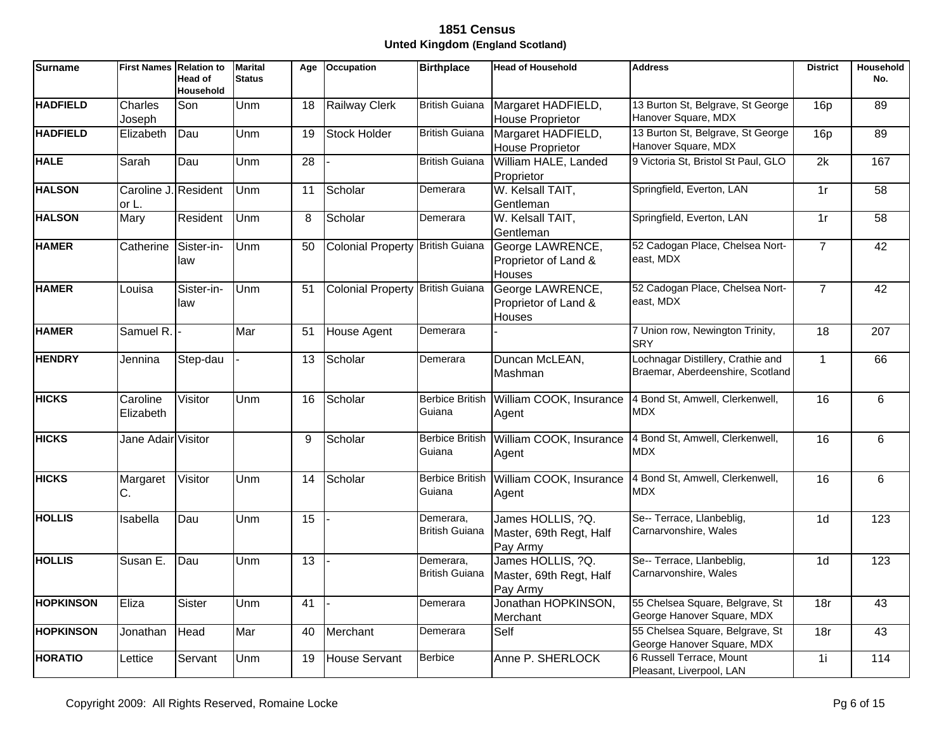| <b>Surname</b>   | <b>First Names Relation to</b> | <b>Head of</b><br><b>Household</b> | <b>Marital</b><br><b>Status</b> | Age | <b>Occupation</b>                | <b>Birthplace</b>                  | <b>Head of Household</b>                                 | <b>Address</b>                                                        | <b>District</b> | Household<br>No. |
|------------------|--------------------------------|------------------------------------|---------------------------------|-----|----------------------------------|------------------------------------|----------------------------------------------------------|-----------------------------------------------------------------------|-----------------|------------------|
| <b>HADFIELD</b>  | Charles<br>Joseph              | Son                                | Unm                             | 18  | <b>Railway Clerk</b>             | <b>British Guiana</b>              | Margaret HADFIELD,<br>House Proprietor                   | 13 Burton St, Belgrave, St George<br>Hanover Square, MDX              | 16p             | 89               |
| <b>HADFIELD</b>  | Elizabeth                      | Dau                                | Unm                             | 19  | <b>Stock Holder</b>              | <b>British Guiana</b>              | Margaret HADFIELD,<br>House Proprietor                   | 13 Burton St, Belgrave, St George<br>Hanover Square, MDX              | 16p             | 89               |
| <b>HALE</b>      | Sarah                          | Dau                                | Unm                             | 28  |                                  | <b>British Guiana</b>              | William HALE, Landed<br>Proprietor                       | 9 Victoria St, Bristol St Paul, GLO                                   | 2k              | 167              |
| <b>HALSON</b>    | Caroline J. Resident<br>or L.  |                                    | Unm                             | 11  | Scholar                          | Demerara                           | W. Kelsall TAIT,<br>Gentleman                            | Springfield, Everton, LAN                                             | 1r              | 58               |
| <b>HALSON</b>    | Mary                           | Resident                           | Unm                             | 8   | Scholar                          | Demerara                           | W. Kelsall TAIT,<br>Gentleman                            | Springfield, Everton, LAN                                             | 1r              | $\overline{58}$  |
| <b>HAMER</b>     | Catherine                      | Sister-in-<br>law                  | Unm                             | 50  | Colonial Property British Guiana |                                    | George LAWRENCE,<br>Proprietor of Land &<br>Houses       | 52 Cadogan Place, Chelsea Nort-<br>east, MDX                          | $\overline{7}$  | 42               |
| <b>HAMER</b>     | Louisa                         | Sister-in-<br>law                  | Unm                             | 51  | Colonial Property British Guiana |                                    | George LAWRENCE,<br>Proprietor of Land &<br>Houses       | 52 Cadogan Place, Chelsea Nort-<br>east, MDX                          | $\overline{7}$  | 42               |
| <b>HAMER</b>     | Samuel R.                      |                                    | Mar                             | 51  | House Agent                      | Demerara                           |                                                          | 7 Union row, Newington Trinity,<br><b>SRY</b>                         | $\overline{18}$ | $\overline{207}$ |
| <b>HENDRY</b>    | Jennina                        | Step-dau                           |                                 | 13  | Scholar                          | Demerara                           | Duncan McLEAN,<br>Mashman                                | Lochnagar Distillery, Crathie and<br>Braemar, Aberdeenshire, Scotland | $\mathbf{1}$    | 66               |
| <b>HICKS</b>     | Caroline<br>Elizabeth          | Visitor                            | Unm                             | 16  | Scholar                          | Guiana                             | Berbice British William COOK, Insurance<br>Agent         | 4 Bond St, Amwell, Clerkenwell,<br><b>MDX</b>                         | 16              | 6                |
| <b>HICKS</b>     | Jane Adair Visitor             |                                    |                                 | 9   | Scholar                          | <b>Berbice British</b><br>Guiana   | William COOK, Insurance<br>Agent                         | 4 Bond St, Amwell, Clerkenwell,<br><b>MDX</b>                         | 16              | 6                |
| <b>HICKS</b>     | Margaret<br>С.                 | Visitor                            | Unm                             | 14  | Scholar                          | <b>Berbice British</b><br>Guiana   | William COOK, Insurance<br>Agent                         | 4 Bond St, Amwell, Clerkenwell,<br><b>MDX</b>                         | $\overline{16}$ | 6                |
| <b>HOLLIS</b>    | Isabella                       | Dau                                | Unm                             | 15  |                                  | Demerara,<br><b>British Guiana</b> | James HOLLIS, ?Q.<br>Master, 69th Regt, Half<br>Pay Army | Se-- Terrace, Llanbeblig,<br>Carnarvonshire, Wales                    | 1 <sub>d</sub>  | 123              |
| <b>HOLLIS</b>    | Susan E.                       | Dau                                | Unm                             | 13  |                                  | Demerara,<br><b>British Guiana</b> | James HOLLIS, ?Q.<br>Master, 69th Regt, Half<br>Pay Army | Se-- Terrace, Llanbeblig,<br>Carnarvonshire, Wales                    | 1 <sub>d</sub>  | 123              |
| <b>HOPKINSON</b> | Eliza                          | <b>Sister</b>                      | Unm                             | 41  |                                  | Demerara                           | Jonathan HOPKINSON,<br>Merchant                          | 55 Chelsea Square, Belgrave, St<br>George Hanover Square, MDX         | 18r             | 43               |
| <b>HOPKINSON</b> | Jonathan                       | Head                               | Mar                             | 40  | Merchant                         | Demerara                           | Self                                                     | 55 Chelsea Square, Belgrave, St<br>George Hanover Square, MDX         | 18r             | 43               |
| <b>HORATIO</b>   | Lettice                        | Servant                            | Unm                             | 19  | <b>House Servant</b>             | Berbice                            | Anne P. SHERLOCK                                         | 6 Russell Terrace, Mount<br>Pleasant, Liverpool, LAN                  | 1i              | 114              |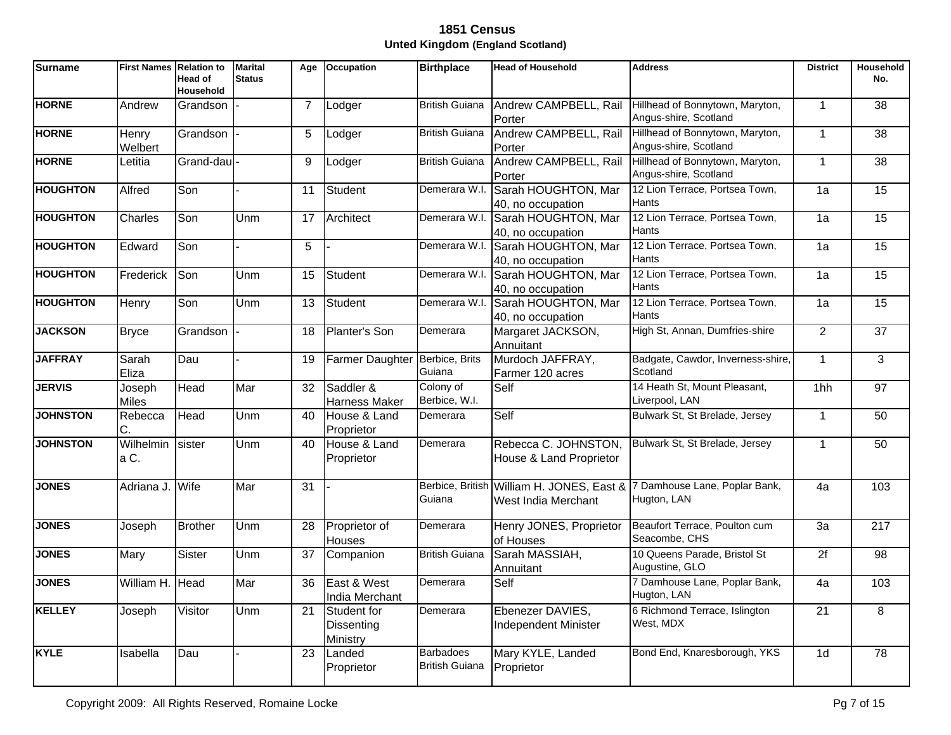| <b>Surname</b>  | <b>First Names Relation to</b> | Head of<br>Household | <b>Marital</b><br><b>Status</b> | Age            | <b>Occupation</b>                     | <b>Birthplace</b>                               | <b>Head of Household</b>                               | <b>Address</b>                                                                         | <b>District</b> | <b>Household</b><br>No. |
|-----------------|--------------------------------|----------------------|---------------------------------|----------------|---------------------------------------|-------------------------------------------------|--------------------------------------------------------|----------------------------------------------------------------------------------------|-----------------|-------------------------|
| <b>HORNE</b>    | Andrew                         | Grandson             |                                 | $\overline{7}$ | Lodger                                | <b>British Guiana</b>                           | Andrew CAMPBELL, Rail<br>Porter                        | Hillhead of Bonnytown, Maryton,<br>Angus-shire, Scotland                               | $\mathbf{1}$    | 38                      |
| <b>HORNE</b>    | Henry<br>Welbert               | Grandson             |                                 | 5              | Lodger                                | <b>British Guiana</b>                           | Andrew CAMPBELL, Rail<br>Porter                        | Hillhead of Bonnytown, Maryton,<br>Angus-shire, Scotland                               | $\mathbf{1}$    | 38                      |
| <b>HORNE</b>    | Letitia                        | Grand-dau            |                                 | 9              | Lodger                                | <b>British Guiana</b>                           | Andrew CAMPBELL, Rail<br>Porter                        | Hillhead of Bonnytown, Maryton,<br>Angus-shire, Scotland                               | $\mathbf{1}$    | 38                      |
| <b>HOUGHTON</b> | Alfred                         | Son                  |                                 | 11             | <b>Student</b>                        |                                                 | Demerara W.I. Sarah HOUGHTON, Mar<br>40, no occupation | 12 Lion Terrace, Portsea Town,<br><b>Hants</b>                                         | 1a              | 15                      |
| <b>HOUGHTON</b> | Charles                        | Son                  | Unm                             | 17             | Architect                             | Demerara W.I.                                   | Sarah HOUGHTON, Mar<br>40, no occupation               | 12 Lion Terrace, Portsea Town,<br>Hants                                                | 1a              | 15                      |
| <b>HOUGHTON</b> | Edward                         | Son                  |                                 | 5              |                                       | Demerara W.I.                                   | Sarah HOUGHTON, Mar<br>40, no occupation               | 12 Lion Terrace. Portsea Town.<br>Hants                                                | 1a              | $\overline{15}$         |
| <b>HOUGHTON</b> | Frederick                      | Son                  | Unm                             | 15             | Student                               | Demerara W.I.                                   | Sarah HOUGHTON, Mar<br>40, no occupation               | 12 Lion Terrace, Portsea Town,<br>Hants                                                | 1a              | $\overline{15}$         |
| <b>HOUGHTON</b> | Henry                          | Son                  | Unm                             | 13             | <b>Student</b>                        | Demerara W.I.                                   | Sarah HOUGHTON, Mar<br>40, no occupation               | 12 Lion Terrace, Portsea Town,<br><b>Hants</b>                                         | 1a              | 15                      |
| <b>JACKSON</b>  | <b>Bryce</b>                   | Grandson             |                                 | 18             | Planter's Son                         | Demerara                                        | Margaret JACKSON,<br>Annuitant                         | High St, Annan, Dumfries-shire                                                         | $\overline{2}$  | $\overline{37}$         |
| <b>JAFFRAY</b>  | Sarah<br>Eliza                 | Dau                  |                                 | 19             | <b>Farmer Daughter</b>                | Berbice, Brits<br>Guiana                        | Murdoch JAFFRAY,<br>Farmer 120 acres                   | Badgate, Cawdor, Inverness-shire,<br>Scotland                                          | $\mathbf{1}$    | 3                       |
| <b>JERVIS</b>   | Joseph<br><b>Miles</b>         | Head                 | Mar                             | 32             | Saddler &<br><b>Harness Maker</b>     | Colony of<br>Berbice, W.I.                      | Self                                                   | 14 Heath St, Mount Pleasant,<br>Liverpool, LAN                                         | 1hh             | 97                      |
| <b>JOHNSTON</b> | Rebecca<br>C.                  | Head                 | Unm                             | 40             | House & Land<br>Proprietor            | Demerara                                        | Self                                                   | Bulwark St, St Brelade, Jersey                                                         | $\mathbf{1}$    | 50                      |
| <b>JOHNSTON</b> | Wilhelmin<br>a C.              | sister               | Unm                             | 40             | House & Land<br>Proprietor            | Demerara                                        | Rebecca C. JOHNSTON,<br>House & Land Proprietor        | Bulwark St, St Brelade, Jersey                                                         | 1               | 50                      |
| <b>JONES</b>    | Adriana J.                     | Wife                 | Mar                             | 31             |                                       | Guiana                                          | West India Merchant                                    | Berbice, British William H. JONES, East & 7 Damhouse Lane, Poplar Bank,<br>Hugton, LAN | 4a              | 103                     |
| <b>JONES</b>    | Joseph                         | <b>Brother</b>       | Unm                             | 28             | Proprietor of<br><b>Houses</b>        | Demerara                                        | Henry JONES, Proprietor<br>of Houses                   | Beaufort Terrace, Poulton cum<br>Seacombe, CHS                                         | 3a              | 217                     |
| <b>JONES</b>    | Mary                           | <b>Sister</b>        | Unm                             | 37             | Companion                             | <b>British Guiana</b>                           | Sarah MASSIAH,<br>Annuitant                            | 10 Queens Parade, Bristol St<br>Augustine, GLO                                         | $\overline{2f}$ | 98                      |
| <b>JONES</b>    | William H.                     | Head                 | Mar                             | 36             | East & West<br>India Merchant         | Demerara                                        | Self                                                   | 7 Damhouse Lane, Poplar Bank,<br>Hugton, LAN                                           | 4a              | 103                     |
| <b>KELLEY</b>   | Joseph                         | Visitor              | Unm                             | 21             | Student for<br>Dissenting<br>Ministry | Demerara                                        | Ebenezer DAVIES,<br><b>Independent Minister</b>        | 6 Richmond Terrace, Islington<br>West, MDX                                             | 21              | 8                       |
| <b>KYLE</b>     | Isabella                       | Dau                  |                                 | 23             | Landed<br>Proprietor                  | <b>Barbadoes</b><br>British Guiana   Proprietor | Mary KYLE, Landed                                      | Bond End, Knaresborough, YKS                                                           | 1 <sub>d</sub>  | $\overline{78}$         |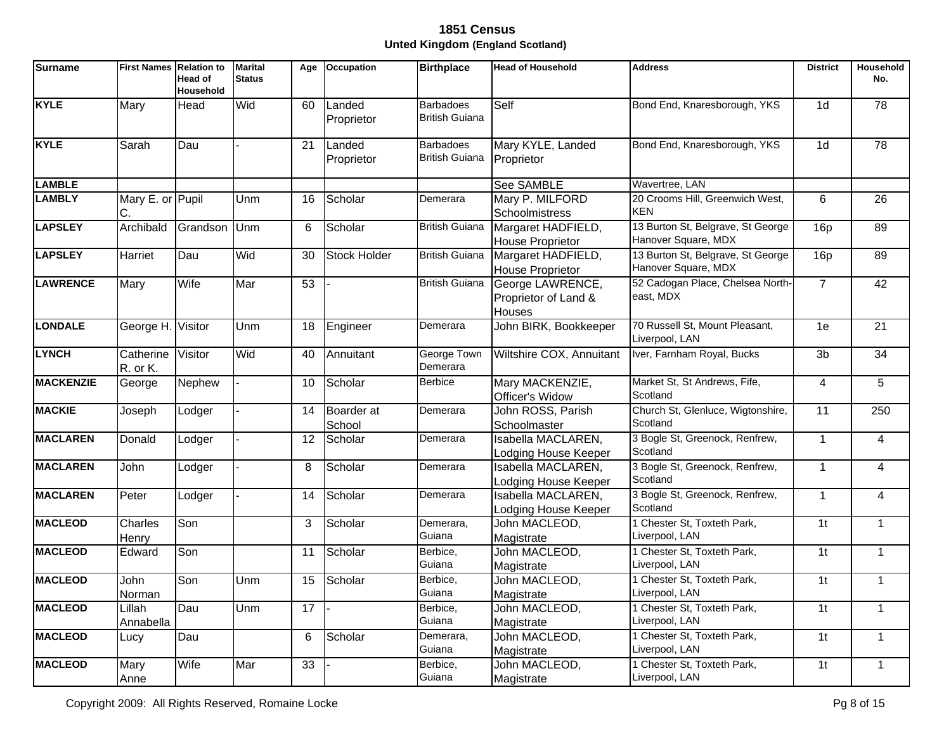| <b>Surname</b>   | <b>First Names Relation to</b> | Head of<br>Household | <b>Marital</b><br><b>Status</b> | Age             | Occupation           | <b>Birthplace</b>                         | <b>Head of Household</b>                                  | <b>Address</b>                                           | <b>District</b> | <b>Household</b><br>No. |
|------------------|--------------------------------|----------------------|---------------------------------|-----------------|----------------------|-------------------------------------------|-----------------------------------------------------------|----------------------------------------------------------|-----------------|-------------------------|
| <b>KYLE</b>      | Mary                           | Head                 | Wid                             | 60              | Landed<br>Proprietor | <b>Barbadoes</b><br><b>British Guiana</b> | Self                                                      | Bond End, Knaresborough, YKS                             | 1 <sub>d</sub>  | 78                      |
| <b>KYLE</b>      | Sarah                          | Dau                  |                                 | 21              | Landed<br>Proprietor | <b>Barbadoes</b><br><b>British Guiana</b> | Mary KYLE, Landed<br>Proprietor                           | Bond End, Knaresborough, YKS                             | 1 <sub>d</sub>  | 78                      |
| <b>LAMBLE</b>    |                                |                      |                                 |                 |                      |                                           | See SAMBLE                                                | Wavertree, LAN                                           |                 |                         |
| <b>LAMBLY</b>    | Mary E. or Pupil<br>C.         |                      | Unm                             | 16              | Scholar              | Demerara                                  | Mary P. MILFORD<br>Schoolmistress                         | 20 Crooms Hill, Greenwich West,<br><b>KEN</b>            | 6               | 26                      |
| <b>LAPSLEY</b>   | Archibald                      | Grandson             | Unm                             | 6               | Scholar              | <b>British Guiana</b>                     | Margaret HADFIELD,<br><b>House Proprietor</b>             | 13 Burton St, Belgrave, St George<br>Hanover Square, MDX | 16p             | 89                      |
| <b>LAPSLEY</b>   | Harriet                        | Dau                  | Wid                             | 30              | <b>Stock Holder</b>  | <b>British Guiana</b>                     | Margaret HADFIELD,<br><b>House Proprietor</b>             | 13 Burton St, Belgrave, St George<br>Hanover Square, MDX | 16p             | 89                      |
| <b>LAWRENCE</b>  | Mary                           | Wife                 | Mar                             | $\overline{53}$ |                      | <b>British Guiana</b>                     | George LAWRENCE,<br>Proprietor of Land &<br><b>Houses</b> | 52 Cadogan Place, Chelsea North-<br>east, MDX            | $\overline{7}$  | 42                      |
| <b>LONDALE</b>   | George H. Visitor              |                      | Unm                             | 18              | Engineer             | Demerara                                  | John BIRK, Bookkeeper                                     | 70 Russell St, Mount Pleasant,<br>Liverpool, LAN         | 1e              | $\overline{21}$         |
| <b>LYNCH</b>     | Catherine<br>R. or K.          | Visitor              | Wid                             | 40              | Annuitant            | George Town<br>Demerara                   | Wiltshire COX, Annuitant                                  | Iver, Farnham Royal, Bucks                               | $\overline{3b}$ | $\overline{34}$         |
| <b>MACKENZIE</b> | George                         | <b>Nephew</b>        |                                 | 10              | Scholar              | <b>Berbice</b>                            | Mary MACKENZIE,<br>Officer's Widow                        | Market St, St Andrews, Fife,<br>Scotland                 | $\overline{4}$  | $\overline{5}$          |
| <b>MACKIE</b>    | Joseph                         | Lodger               |                                 | 14              | Boarder at<br>School | Demerara                                  | John ROSS, Parish<br>Schoolmaster                         | Church St, Glenluce, Wigtonshire,<br>Scotland            | $\overline{11}$ | 250                     |
| <b>MACLAREN</b>  | Donald                         | Lodger               |                                 | 12              | Scholar              | Demerara                                  | Isabella MACLAREN,<br>Lodging House Keeper                | 3 Bogle St, Greenock, Renfrew,<br>Scotland               | $\mathbf{1}$    | 4                       |
| <b>MACLAREN</b>  | John                           | Lodger               |                                 | 8               | Scholar              | Demerara                                  | Isabella MACLAREN,<br>Lodging House Keeper                | 3 Bogle St, Greenock, Renfrew,<br>Scotland               | $\mathbf{1}$    | 4                       |
| <b>MACLAREN</b>  | Peter                          | Lodger               |                                 | 14              | Scholar              | Demerara                                  | Isabella MACLAREN,<br>Lodging House Keeper                | 3 Bogle St, Greenock, Renfrew,<br>Scotland               | $\mathbf{1}$    | 4                       |
| <b>MACLEOD</b>   | Charles<br>Henry               | Son                  |                                 | 3               | Scholar              | Demerara,<br>Guiana                       | John MACLEOD,<br>Magistrate                               | 1 Chester St, Toxteth Park,<br>Liverpool, LAN            | 1 <sub>t</sub>  | $\mathbf{1}$            |
| <b>MACLEOD</b>   | Edward                         | Son                  |                                 | 11              | Scholar              | Berbice,<br>Guiana                        | John MACLEOD,<br>Magistrate                               | 1 Chester St, Toxteth Park,<br>Liverpool, LAN            | 1 <sub>t</sub>  | $\mathbf{1}$            |
| <b>MACLEOD</b>   | John<br>Norman                 | Son                  | Unm                             | 15              | Scholar              | Berbice,<br>Guiana                        | John MACLEOD,<br>Magistrate                               | 1 Chester St, Toxteth Park,<br>Liverpool, LAN            | 1 <sup>t</sup>  | $\mathbf{1}$            |
| <b>MACLEOD</b>   | Lillah<br>Annabella            | Dau                  | Unm                             | $\overline{17}$ |                      | Berbice,<br>Guiana                        | John MACLEOD,<br>Magistrate                               | 1 Chester St, Toxteth Park,<br>Liverpool, LAN            | $\overline{1}$  | $\mathbf{1}$            |
| <b>MACLEOD</b>   | Lucy                           | Dau                  |                                 | 6               | Scholar              | Demerara,<br>Guiana                       | John MACLEOD,<br>Magistrate                               | 1 Chester St, Toxteth Park,<br>Liverpool, LAN            | 1 <sub>t</sub>  | $\mathbf{1}$            |
| <b>MACLEOD</b>   | Mary<br>Anne                   | Wife                 | Mar                             | 33              |                      | Berbice,<br>Guiana                        | John MACLEOD,<br>Magistrate                               | 1 Chester St, Toxteth Park,<br>Liverpool, LAN            | 1 <sub>t</sub>  | $\mathbf{1}$            |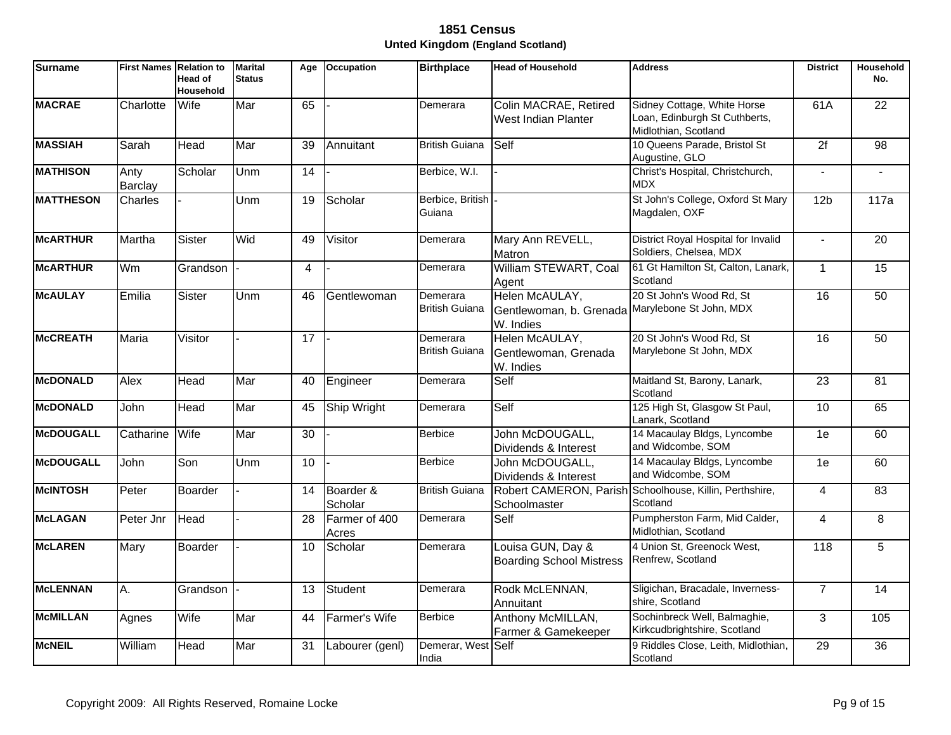| <b>Surname</b>   | <b>First Names</b>     | <b>Relation to</b><br>Head of<br>Household | <b>Marital</b><br><b>Status</b> | Age             | <b>Occupation</b>      | <b>Birthplace</b>                 | <b>Head of Household</b>                                                       | <b>Address</b>                                                                       | <b>District</b>     | Household<br>No. |
|------------------|------------------------|--------------------------------------------|---------------------------------|-----------------|------------------------|-----------------------------------|--------------------------------------------------------------------------------|--------------------------------------------------------------------------------------|---------------------|------------------|
| <b>MACRAE</b>    | Charlotte              | Wife                                       | Mar                             | 65              |                        | Demerara                          | Colin MACRAE, Retired<br>West Indian Planter                                   | Sidney Cottage, White Horse<br>Loan, Edinburgh St Cuthberts,<br>Midlothian, Scotland | 61A                 | $\overline{22}$  |
| <b>MASSIAH</b>   | Sarah                  | Head                                       | Mar                             | 39              | Annuitant              | <b>British Guiana</b>             | Self                                                                           | 10 Queens Parade, Bristol St<br>Augustine, GLO                                       | 2f                  | 98               |
| <b>MATHISON</b>  | Anty<br><b>Barclay</b> | Scholar                                    | Unm                             | 14              |                        | Berbice, W.I.                     |                                                                                | Christ's Hospital, Christchurch,<br><b>MDX</b>                                       | $\blacksquare$      |                  |
| <b>MATTHESON</b> | Charles                |                                            | Unm                             | 19              | Scholar                | Berbice, British<br>Guiana        |                                                                                | St John's College, Oxford St Mary<br>Magdalen, OXF                                   | 12 <sub>b</sub>     | 117a             |
| <b>McARTHUR</b>  | Martha                 | Sister                                     | Wid                             | 49              | Visitor                | Demerara                          | Mary Ann REVELL,<br>Matron                                                     | District Royal Hospital for Invalid<br>Soldiers, Chelsea, MDX                        | $\blacksquare$      | 20               |
| <b>McARTHUR</b>  | Wm                     | Grandson                                   |                                 | $\overline{4}$  |                        | Demerara                          | William STEWART, Coal<br>Agent                                                 | 61 Gt Hamilton St, Calton, Lanark,<br>Scotland                                       | $\mathbf{1}$        | $\overline{15}$  |
| <b>McAULAY</b>   | Emilia                 | <b>Sister</b>                              | Unm                             | 46              | Gentlewoman            | Demerara<br><b>British Guiana</b> | Helen McAULAY,<br>Gentlewoman, b. Grenada Marylebone St John, MDX<br>W. Indies | 20 St John's Wood Rd, St                                                             | 16                  | 50               |
| <b>McCREATH</b>  | <b>Maria</b>           | Visitor                                    |                                 | $\overline{17}$ |                        | Demerara<br><b>British Guiana</b> | Helen McAULAY,<br>Gentlewoman, Grenada<br>W. Indies                            | 20 St John's Wood Rd, St<br>Marylebone St John, MDX                                  | 16                  | 50               |
| <b>McDONALD</b>  | Alex                   | Head                                       | Mar                             | 40              | Engineer               | Demerara                          | Self                                                                           | Maitland St, Barony, Lanark,<br>Scotland                                             | 23                  | 81               |
| <b>McDONALD</b>  | John                   | Head                                       | Mar                             | 45              | Ship Wright            | Demerara                          | Self                                                                           | 125 High St, Glasgow St Paul,<br>Lanark, Scotland                                    | 10                  | 65               |
| <b>McDOUGALL</b> | Catharine              | Wife                                       | Mar                             | 30              |                        | <b>Berbice</b>                    | John McDOUGALL,<br>Dividends & Interest                                        | 14 Macaulay Bldgs, Lyncombe<br>and Widcombe, SOM                                     | 1e                  | 60               |
| <b>McDOUGALL</b> | John                   | Son                                        | Unm                             | $\overline{10}$ |                        | <b>Berbice</b>                    | John McDOUGALL,<br>Dividends & Interest                                        | 14 Macaulay Bldgs, Lyncombe<br>and Widcombe, SOM                                     | 1e                  | 60               |
| <b>McINTOSH</b>  | Peter                  | <b>Boarder</b>                             |                                 | 14              | Boarder &<br>Scholar   | <b>British Guiana</b>             | Schoolmaster                                                                   | Robert CAMERON, Parish Schoolhouse, Killin, Perthshire,<br>Scotland                  | $\overline{4}$      | 83               |
| <b>McLAGAN</b>   | Peter Jnr              | Head                                       |                                 | $\overline{28}$ | Farmer of 400<br>Acres | Demerara                          | Self                                                                           | Pumpherston Farm, Mid Calder,<br>Midlothian, Scotland                                | $\overline{4}$      | $\overline{8}$   |
| <b>McLAREN</b>   | Mary                   | Boarder                                    |                                 | 10              | Scholar                | Demerara                          | Louisa GUN, Day &<br><b>Boarding School Mistress</b>                           | 4 Union St, Greenock West,<br>Renfrew, Scotland                                      | $\overline{118}$    | $\overline{5}$   |
| <b>MCLENNAN</b>  | Α.                     | Grandson                                   |                                 | 13              | Student                | Demerara                          | Rodk McLENNAN,<br>Annuitant                                                    | Sligichan, Bracadale, Inverness-<br>shire, Scotland                                  | $\overline{7}$      | 14               |
| <b>McMILLAN</b>  | Agnes                  | Wife                                       | Mar                             | 44              | Farmer's Wife          | <b>Berbice</b>                    | Anthony McMILLAN,<br>Farmer & Gamekeeper                                       | Sochinbreck Well, Balmaghie,<br>Kirkcudbrightshire, Scotland                         | $\overline{\omega}$ | 105              |
| <b>McNEIL</b>    | William                | Head                                       | Mar                             | 31              | Labourer (genl)        | Demerar, West<br>India            | <b>Self</b>                                                                    | 9 Riddles Close, Leith, Midlothian,<br>Scotland                                      | 29                  | 36               |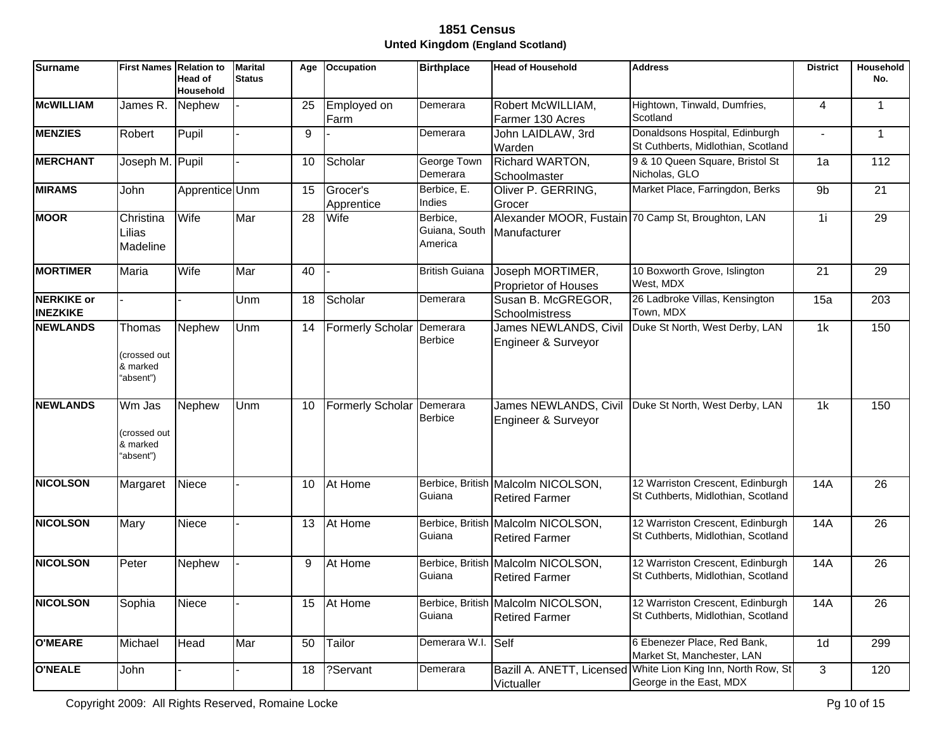| <b>Surname</b>                       | <b>First Names</b>                              | <b>Relation to</b><br>Head of<br>Household | <b>Marital</b><br><b>Status</b> | Age | <b>Occupation</b>       | <b>Birthplace</b>                    | <b>Head of Household</b>                                    | <b>Address</b>                                                                          | <b>District</b> | <b>Household</b><br>No. |
|--------------------------------------|-------------------------------------------------|--------------------------------------------|---------------------------------|-----|-------------------------|--------------------------------------|-------------------------------------------------------------|-----------------------------------------------------------------------------------------|-----------------|-------------------------|
| <b>McWILLIAM</b>                     | James R.                                        | Nephew                                     |                                 | 25  | Employed on<br>Farm     | Demerara                             | Robert McWILLIAM,<br>Farmer 130 Acres                       | Hightown, Tinwald, Dumfries,<br>Scotland                                                | $\overline{4}$  | $\mathbf{1}$            |
| <b>MENZIES</b>                       | Robert                                          | Pupil                                      |                                 | 9   |                         | Demerara                             | John LAIDLAW, 3rd<br>Warden                                 | Donaldsons Hospital, Edinburgh<br>St Cuthberts, Midlothian, Scotland                    | $\blacksquare$  | $\mathbf{1}$            |
| <b>MERCHANT</b>                      | Joseph M.                                       | Pupil                                      |                                 | 10  | Scholar                 | George Town<br>Demerara              | Richard WARTON,<br>Schoolmaster                             | 9 & 10 Queen Square, Bristol St<br>Nicholas, GLO                                        | 1a              | 112                     |
| <b>MIRAMS</b>                        | John                                            | Apprentice Unm                             |                                 | 15  | Grocer's<br>Apprentice  | Berbice, E.<br>Indies                | Oliver P. GERRING,<br>Grocer                                | Market Place, Farringdon, Berks                                                         | 9b              | 21                      |
| <b>MOOR</b>                          | Christina<br>Lilias<br>Madeline                 | Wife                                       | Mar                             | 28  | Wife                    | Berbice,<br>Guiana, South<br>America | Manufacturer                                                | Alexander MOOR, Fustain 70 Camp St, Broughton, LAN                                      | 1i              | 29                      |
| <b>MORTIMER</b>                      | Maria                                           | Wife                                       | Mar                             | 40  |                         | <b>British Guiana</b>                | Joseph MORTIMER,<br>Proprietor of Houses                    | 10 Boxworth Grove, Islington<br>West, MDX                                               | 21              | 29                      |
| <b>NERKIKE or</b><br><b>INEZKIKE</b> |                                                 |                                            | Unm                             | 18  | Scholar                 | Demerara                             | Susan B. McGREGOR,<br>Schoolmistress                        | 26 Ladbroke Villas, Kensington<br>Town, MDX                                             | 15a             | 203                     |
| <b>NEWLANDS</b>                      | Thomas<br>(crossed out<br>& marked<br>'absent") | Nephew                                     | Unm                             | 14  | <b>Formerly Scholar</b> | Demerara<br><b>Berbice</b>           | James NEWLANDS, Civil<br>Engineer & Surveyor                | Duke St North, West Derby, LAN                                                          | 1k              | 150                     |
| <b>NEWLANDS</b>                      | Wm Jas<br>crossed out)<br>& marked<br>"absent") | Nephew                                     | Unm                             | 10  | <b>Formerly Scholar</b> | Demerara<br><b>Berbice</b>           | James NEWLANDS, Civil<br>Engineer & Surveyor                | Duke St North, West Derby, LAN                                                          | 1k              | 150                     |
| <b>NICOLSON</b>                      | Margaret                                        | <b>Niece</b>                               |                                 | 10  | At Home                 | Guiana                               | Berbice, British Malcolm NICOLSON,<br><b>Retired Farmer</b> | 12 Warriston Crescent, Edinburgh<br>St Cuthberts, Midlothian, Scotland                  | <b>14A</b>      | 26                      |
| <b>NICOLSON</b>                      | Mary                                            | Niece                                      |                                 | 13  | At Home                 | Guiana                               | Berbice, British Malcolm NICOLSON,<br><b>Retired Farmer</b> | 12 Warriston Crescent, Edinburgh<br>St Cuthberts, Midlothian, Scotland                  | <b>14A</b>      | 26                      |
| <b>NICOLSON</b>                      | <b>Peter</b>                                    | Nephew                                     |                                 | 9   | At Home                 | Guiana                               | Berbice, British Malcolm NICOLSON,<br><b>Retired Farmer</b> | 12 Warriston Crescent, Edinburgh<br>St Cuthberts, Midlothian, Scotland                  | 14A             | 26                      |
| <b>NICOLSON</b>                      | Sophia                                          | Niece                                      |                                 | 15  | At Home                 | Guiana                               | Berbice, British Malcolm NICOLSON,<br><b>Retired Farmer</b> | 12 Warriston Crescent, Edinburgh<br>St Cuthberts, Midlothian, Scotland                  | 14A             | 26                      |
| <b>O'MEARE</b>                       | Michael                                         | Head                                       | Mar                             | 50  | Tailor                  | Demerara W.I. Self                   |                                                             | 6 Ebenezer Place, Red Bank,<br>Market St, Manchester, LAN                               | 1d              | 299                     |
| <b>O'NEALE</b>                       | John                                            |                                            |                                 | 18  | ?Servant                | Demerara                             | Victualler                                                  | Bazill A. ANETT, Licensed White Lion King Inn, North Row, St<br>George in the East, MDX | 3               | 120                     |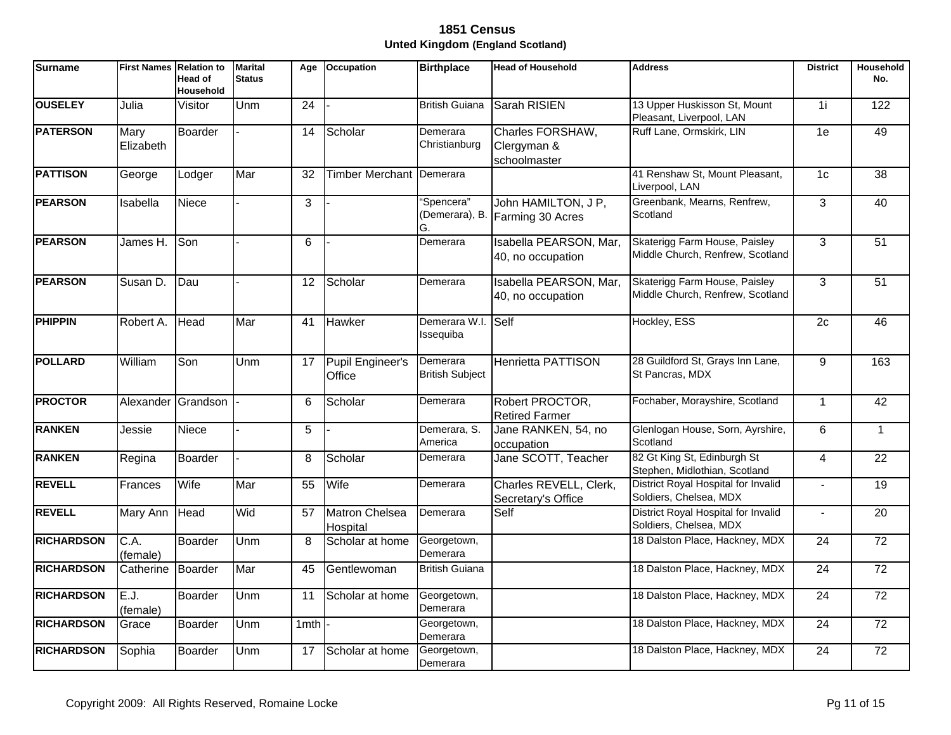| <b>Surname</b>    | <b>First Names</b> | <b>Relation to</b><br>Head of<br>Household | <b>Marital</b><br><b>Status</b> | Age             | <b>Occupation</b>                 | <b>Birthplace</b>                  | <b>Head of Household</b>                               | <b>Address</b>                                                    | <b>District</b> | Household<br>No. |
|-------------------|--------------------|--------------------------------------------|---------------------------------|-----------------|-----------------------------------|------------------------------------|--------------------------------------------------------|-------------------------------------------------------------------|-----------------|------------------|
| <b>OUSELEY</b>    | Julia              | Visitor                                    | Unm                             | $\overline{24}$ |                                   | <b>British Guiana</b>              | Sarah RISIEN                                           | 13 Upper Huskisson St, Mount<br>Pleasant, Liverpool, LAN          | 1i              | 122              |
| <b>PATERSON</b>   | Mary<br>Elizabeth  | Boarder                                    |                                 | 14              | Scholar                           | Demerara<br>Christianburg          | Charles FORSHAW,<br>Clergyman &<br>schoolmaster        | Ruff Lane, Ormskirk, LIN                                          | 1e              | 49               |
| <b>PATTISON</b>   | George             | Lodger                                     | Mar                             | 32              | Timber Merchant                   | Demerara                           |                                                        | 41 Renshaw St, Mount Pleasant,<br>Liverpool, LAN                  | 1 <sub>c</sub>  | $\overline{38}$  |
| <b>PEARSON</b>    | Isabella           | Niece                                      |                                 | 3               |                                   | "Spencera"<br>G.                   | John HAMILTON, J P,<br>(Demerara), B. Farming 30 Acres | Greenbank, Mearns, Renfrew,<br>Scotland                           | $\overline{3}$  | 40               |
| <b>PEARSON</b>    | James H.           | Son                                        |                                 | 6               |                                   | Demerara                           | Isabella PEARSON, Mar,<br>40, no occupation            | Skaterigg Farm House, Paisley<br>Middle Church, Renfrew, Scotland | 3               | 51               |
| <b>PEARSON</b>    | Susan D.           | Dau                                        |                                 | 12              | Scholar                           | Demerara                           | Isabella PEARSON, Mar,<br>40, no occupation            | Skaterigg Farm House, Paisley<br>Middle Church, Renfrew, Scotland | 3               | 51               |
| <b>PHIPPIN</b>    | Robert A.          | Head                                       | Mar                             | 41              | Hawker                            | Demerara W.I. Self<br>Issequiba    |                                                        | Hockley, ESS                                                      | 2c              | 46               |
| <b>POLLARD</b>    | William            | Son                                        | Unm                             | 17              | Pupil Engineer's<br>Office        | Demerara<br><b>British Subject</b> | <b>Henrietta PATTISON</b>                              | 28 Guildford St, Grays Inn Lane,<br>St Pancras, MDX               | 9               | 163              |
| <b>PROCTOR</b>    | Alexander          | Grandson                                   |                                 | 6               | Scholar                           | Demerara                           | Robert PROCTOR,<br><b>Retired Farmer</b>               | Fochaber, Morayshire, Scotland                                    | $\mathbf{1}$    | 42               |
| <b>RANKEN</b>     | Jessie             | Niece                                      |                                 | 5               |                                   | Demerara, S.<br>America            | Jane RANKEN, 54, no<br>occupation                      | Glenlogan House, Sorn, Ayrshire,<br>Scotland                      | 6               | $\mathbf{1}$     |
| <b>RANKEN</b>     | Regina             | Boarder                                    |                                 | 8               | Scholar                           | Demerara                           | Jane SCOTT, Teacher                                    | 82 Gt King St, Edinburgh St<br>Stephen, Midlothian, Scotland      | $\overline{4}$  | 22               |
| <b>REVELL</b>     | Frances            | Wife                                       | Mar                             | 55              | Wife                              | Demerara                           | Charles REVELL, Clerk,<br>Secretary's Office           | District Royal Hospital for Invalid<br>Soldiers, Chelsea, MDX     |                 | $\overline{19}$  |
| <b>REVELL</b>     | Mary Ann           | Head                                       | Wid                             | 57              | <b>Matron Chelsea</b><br>Hospital | Demerara                           | Self                                                   | District Royal Hospital for Invalid<br>Soldiers, Chelsea, MDX     | $\overline{a}$  | 20               |
| <b>RICHARDSON</b> | C.A.<br>(female)   | Boarder                                    | U <sub>nm</sub>                 | 8               | Scholar at home                   | Georgetown,<br>Demerara            |                                                        | 18 Dalston Place, Hackney, MDX                                    | $\overline{24}$ | $\overline{72}$  |
| <b>RICHARDSON</b> | Catherine          | Boarder                                    | Mar                             | 45              | Gentlewoman                       | <b>British Guiana</b>              |                                                        | 18 Dalston Place, Hackney, MDX                                    | $\overline{24}$ | $\overline{72}$  |
| <b>RICHARDSON</b> | E.J.<br>(female)   | Boarder                                    | Unm                             | 11              | Scholar at home                   | Georgetown,<br>Demerara            |                                                        | 18 Dalston Place, Hackney, MDX                                    | $\overline{24}$ | $\overline{72}$  |
| <b>RICHARDSON</b> | Grace              | Boarder                                    | Unm                             | 1mth            |                                   | Georgetown,<br>Demerara            |                                                        | 18 Dalston Place, Hackney, MDX                                    | $\overline{24}$ | $\overline{72}$  |
| <b>RICHARDSON</b> | Sophia             | Boarder                                    | Unm                             | 17              | Scholar at home                   | Georgetown,<br>Demerara            |                                                        | 18 Dalston Place, Hackney, MDX                                    | $\overline{24}$ | $\overline{72}$  |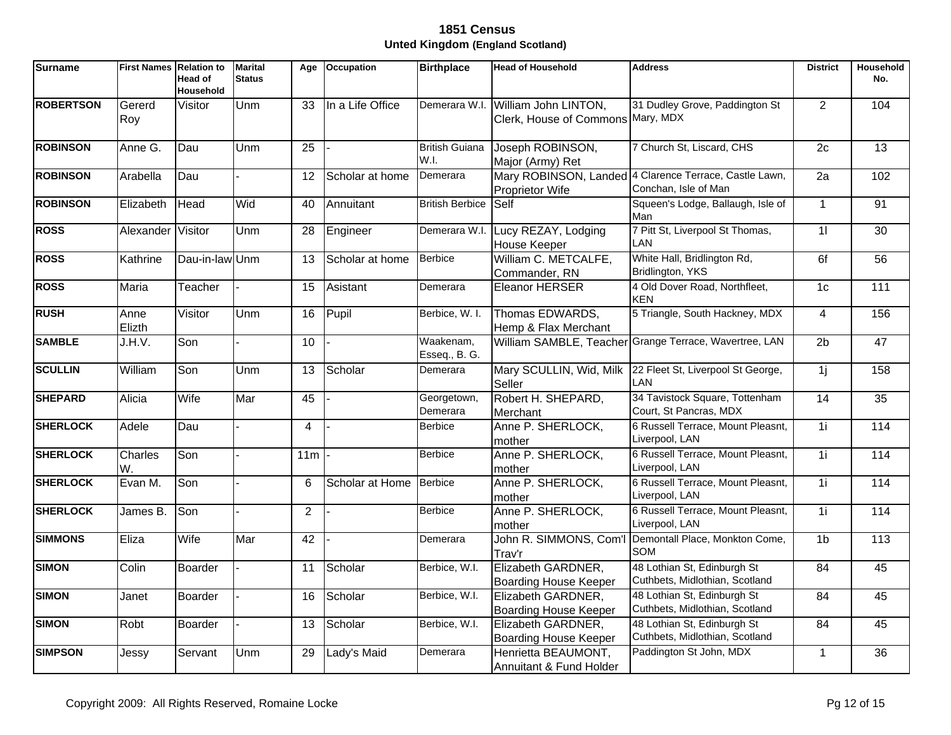| <b>Surname</b>   | <b>First Names Relation to</b> | <b>Head of</b><br><b>Household</b> | <b>Marital</b><br><b>Status</b> | Age             | Occupation       | <b>Birthplace</b>             | <b>Head of Household</b>                                  | <b>Address</b>                                                                 | <b>District</b> | Household<br>No. |
|------------------|--------------------------------|------------------------------------|---------------------------------|-----------------|------------------|-------------------------------|-----------------------------------------------------------|--------------------------------------------------------------------------------|-----------------|------------------|
| <b>ROBERTSON</b> | Gererd<br>Roy                  | Visitor                            | Unm                             | 33              | In a Life Office | Demerara W.I.                 | William John LINTON,<br>Clerk, House of Commons Mary, MDX | 31 Dudley Grove, Paddington St                                                 | $\overline{2}$  | 104              |
| <b>ROBINSON</b>  | Anne G.                        | Dau                                | Unm                             | 25              |                  | <b>British Guiana</b><br>W.I. | Joseph ROBINSON,<br>Major (Army) Ret                      | 7 Church St, Liscard, CHS                                                      | 2c              | 13               |
| <b>ROBINSON</b>  | Arabella                       | Dau                                |                                 | 12              | Scholar at home  | Demerara                      | <b>Proprietor Wife</b>                                    | Mary ROBINSON, Landed 4 Clarence Terrace, Castle Lawn,<br>Conchan, Isle of Man | 2a              | 102              |
| <b>ROBINSON</b>  | Elizabeth                      | Head                               | Wid                             | 40              | Annuitant        | <b>British Berbice</b>        | Self                                                      | Squeen's Lodge, Ballaugh, Isle of<br>Man                                       | $\mathbf{1}$    | 91               |
| <b>ROSS</b>      | Alexander Visitor              |                                    | Unm                             | 28              | Engineer         | Demerara W.I.                 | Lucy REZAY, Lodging<br><b>House Keeper</b>                | 7 Pitt St, Liverpool St Thomas,<br>LAN                                         | $\overline{1}$  | $\overline{30}$  |
| <b>ROSS</b>      | Kathrine                       | Dau-in-law Unm                     |                                 | 13              | Scholar at home  | Berbice                       | William C. METCALFE,<br>Commander, RN                     | White Hall, Bridlington Rd,<br>Bridlington, YKS                                | 6f              | 56               |
| <b>ROSS</b>      | Maria                          | Teacher                            |                                 | 15              | Asistant         | Demerara                      | Eleanor HERSER                                            | 4 Old Dover Road, Northfleet,<br><b>KEN</b>                                    | 1 <sub>c</sub>  | 111              |
| <b>RUSH</b>      | Anne<br>Elizth                 | Visitor                            | Unm                             | 16              | Pupil            | Berbice, W. I.                | Thomas EDWARDS,<br>Hemp & Flax Merchant                   | 5 Triangle, South Hackney, MDX                                                 | $\overline{4}$  | 156              |
| <b>SAMBLE</b>    | J.H.V.                         | Son                                |                                 | 10              |                  | Waakenam,<br>Esseq., B. G.    |                                                           | William SAMBLE, Teacher Grange Terrace, Wavertree, LAN                         | 2 <sub>b</sub>  | 47               |
| <b>SCULLIN</b>   | William                        | Son                                | Unm                             | 13              | Scholar          | Demerara                      | Mary SCULLIN, Wid, Milk<br>Seller                         | 22 Fleet St, Liverpool St George,<br>LAN                                       | 1j              | 158              |
| <b>SHEPARD</b>   | Alicia                         | Wife                               | Mar                             | 45              |                  | Georgetown,<br>Demerara       | Robert H. SHEPARD,<br>Merchant                            | 34 Tavistock Square, Tottenham<br>Court, St Pancras, MDX                       | $\overline{14}$ | $\overline{35}$  |
| <b>SHERLOCK</b>  | Adele                          | Dau                                |                                 | $\overline{4}$  |                  | <b>Berbice</b>                | Anne P. SHERLOCK,<br>mother                               | 6 Russell Terrace, Mount Pleasnt,<br>Liverpool, LAN                            | $\overline{1}$  | 114              |
| <b>SHERLOCK</b>  | Charles<br>W.                  | Son                                |                                 | 11m             |                  | <b>Berbice</b>                | Anne P. SHERLOCK,<br>mother                               | 6 Russell Terrace, Mount Pleasnt,<br>Liverpool, LAN                            | $\overline{1}$  | 114              |
| <b>SHERLOCK</b>  | Evan M.                        | Son                                |                                 | 6               | Scholar at Home  | Berbice                       | Anne P. SHERLOCK,<br>mother                               | 6 Russell Terrace, Mount Pleasnt,<br>Liverpool, LAN                            | 1i              | 114              |
| <b>SHERLOCK</b>  | James B.                       | Son                                |                                 | 2               |                  | <b>Berbice</b>                | Anne P. SHERLOCK,<br>mother                               | 6 Russell Terrace, Mount Pleasnt,<br>Liverpool, LAN                            | 1i              | 114              |
| <b>SIMMONS</b>   | Eliza                          | Wife                               | Mar                             | $\overline{42}$ |                  | Demerara                      | John R. SIMMONS, Com'<br>Trav'r                           | Demontall Place, Monkton Come,<br>SOM                                          | 1 <sub>b</sub>  | 113              |
| <b>SIMON</b>     | Colin                          | Boarder                            |                                 | 11              | Scholar          | Berbice, W.I.                 | Elizabeth GARDNER,<br>Boarding House Keeper               | 48 Lothian St, Edinburgh St<br>Cuthbets, Midlothian, Scotland                  | $\overline{84}$ | 45               |
| <b>SIMON</b>     | Janet                          | Boarder                            |                                 | 16              | Scholar          | Berbice, W.I.                 | Elizabeth GARDNER,<br>Boarding House Keeper               | 48 Lothian St, Edinburgh St<br>Cuthbets, Midlothian, Scotland                  | 84              | 45               |
| <b>SIMON</b>     | Robt                           | Boarder                            |                                 | 13              | Scholar          | Berbice, W.I.                 | Elizabeth GARDNER,<br>Boarding House Keeper               | 48 Lothian St, Edinburgh St<br>Cuthbets, Midlothian, Scotland                  | 84              | 45               |
| <b>SIMPSON</b>   | Jessy                          | Servant                            | Unm                             | 29              | Lady's Maid      | Demerara                      | Henrietta BEAUMONT,<br>Annuitant & Fund Holder            | Paddington St John, MDX                                                        | $\mathbf{1}$    | 36               |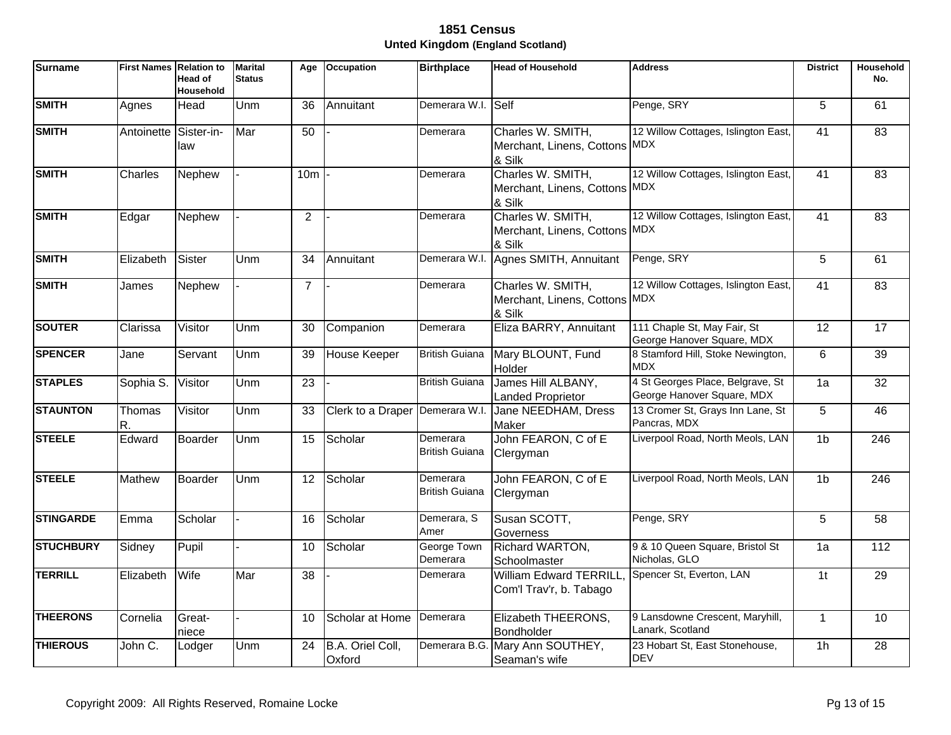| Surname          | <b>First Names</b> | <b>Relation to</b><br>Head of<br>Household | <b>Marital</b><br><b>Status</b> | Age             | <b>Occupation</b>          | <b>Birthplace</b>                 | <b>Head of Household</b>                                     | <b>Address</b>                                                 | <b>District</b> | Household<br>No. |
|------------------|--------------------|--------------------------------------------|---------------------------------|-----------------|----------------------------|-----------------------------------|--------------------------------------------------------------|----------------------------------------------------------------|-----------------|------------------|
| <b>SMITH</b>     | Agnes              | Head                                       | Unm                             | 36              | Annuitant                  | Demerara W.I. Self                |                                                              | Penge, SRY                                                     | 5               | 61               |
| <b>SMITH</b>     | Antoinette         | Sister-in-<br>law                          | Mar                             | 50              |                            | Demerara                          | Charles W. SMITH,<br>Merchant, Linens, Cottons MDX<br>& Silk | 12 Willow Cottages, Islington East,                            | $\overline{41}$ | 83               |
| <b>SMITH</b>     | Charles            | Nephew                                     |                                 | 10m             |                            | Demerara                          | Charles W. SMITH,<br>Merchant, Linens, Cottons MDX<br>& Silk | 12 Willow Cottages, Islington East,                            | 41              | 83               |
| <b>SMITH</b>     | Edgar              | <b>Nephew</b>                              |                                 | $\overline{2}$  |                            | Demerara                          | Charles W. SMITH,<br>Merchant, Linens, Cottons MDX<br>& Silk | 12 Willow Cottages, Islington East,                            | 41              | $\overline{83}$  |
| <b>SMITH</b>     | Elizabeth          | Sister                                     | Unm                             | 34              | Annuitant                  | Demerara W.I.                     | Agnes SMITH, Annuitant                                       | Penge, SRY                                                     | 5               | 61               |
| <b>SMITH</b>     | James              | Nephew                                     |                                 | $\overline{7}$  |                            | Demerara                          | Charles W. SMITH,<br>Merchant, Linens, Cottons MDX<br>& Silk | 12 Willow Cottages, Islington East,                            | 41              | 83               |
| <b>SOUTER</b>    | Clarissa           | Visitor                                    | Unm                             | 30              | Companion                  | Demerara                          | Eliza BARRY, Annuitant                                       | 111 Chaple St, May Fair, St<br>George Hanover Square, MDX      | 12              | 17               |
| <b>SPENCER</b>   | Jane               | Servant                                    | Unm                             | 39              | House Keeper               | <b>British Guiana</b>             | Mary BLOUNT, Fund<br>Holder                                  | 8 Stamford Hill, Stoke Newington,<br><b>MDX</b>                | 6               | 39               |
| <b>STAPLES</b>   | Sophia S.          | Visitor                                    | Unm                             | 23              |                            | <b>British Guiana</b>             | James Hill ALBANY,<br><b>Landed Proprietor</b>               | 4 St Georges Place, Belgrave, St<br>George Hanover Square, MDX | 1a              | $\overline{32}$  |
| <b>STAUNTON</b>  | Thomas<br>R.       | Visitor                                    | Unm                             | 33              | Clerk to a Draper          | Demerara W.I.                     | Jane NEEDHAM, Dress<br>Maker                                 | 13 Cromer St, Grays Inn Lane, St<br>Pancras, MDX               | 5               | 46               |
| <b>STEELE</b>    | Edward             | Boarder                                    | Unm                             | 15              | Scholar                    | Demerara<br><b>British Guiana</b> | John FEARON, C of E<br>Clergyman                             | Liverpool Road, North Meols, LAN                               | 1 <sub>b</sub>  | $\overline{246}$ |
| <b>STEELE</b>    | <b>Mathew</b>      | Boarder                                    | Unm                             | $\overline{12}$ | Scholar                    | Demerara<br><b>British Guiana</b> | John FEARON, C of E<br>Clergyman                             | Liverpool Road, North Meols, LAN                               | 1 <sub>b</sub>  | $\overline{246}$ |
| <b>STINGARDE</b> | Emma               | Scholar                                    |                                 | 16              | Scholar                    | Demerara, S<br>Amer               | Susan SCOTT.<br>Governess                                    | Penge, SRY                                                     | 5               | 58               |
| <b>STUCHBURY</b> | Sidney             | Pupil                                      |                                 | 10              | Scholar                    | George Town<br>Demerara           | Richard WARTON,<br>Schoolmaster                              | 9 & 10 Queen Square, Bristol St<br>Nicholas, GLO               | 1a              | 112              |
| <b>TERRILL</b>   | Elizabeth          | Wife                                       | Mar                             | 38              |                            | Demerara                          | <b>William Edward TERRILL</b><br>Com'l Trav'r, b. Tabago     | Spencer St, Everton, LAN                                       | 1 <sup>t</sup>  | $\overline{29}$  |
| <b>THEERONS</b>  | Cornelia           | Great-<br>niece                            |                                 | 10              | Scholar at Home            | Demerara                          | Elizabeth THEERONS,<br>Bondholder                            | 9 Lansdowne Crescent, Maryhill,<br>Lanark, Scotland            | $\mathbf{1}$    | 10               |
| <b>THIEROUS</b>  | John C.            | Lodger                                     | Unm                             | 24              | B.A. Oriel Coll,<br>Oxford | Demerara B.G.                     | Mary Ann SOUTHEY,<br>Seaman's wife                           | 23 Hobart St, East Stonehouse,<br><b>DEV</b>                   | 1 <sub>h</sub>  | 28               |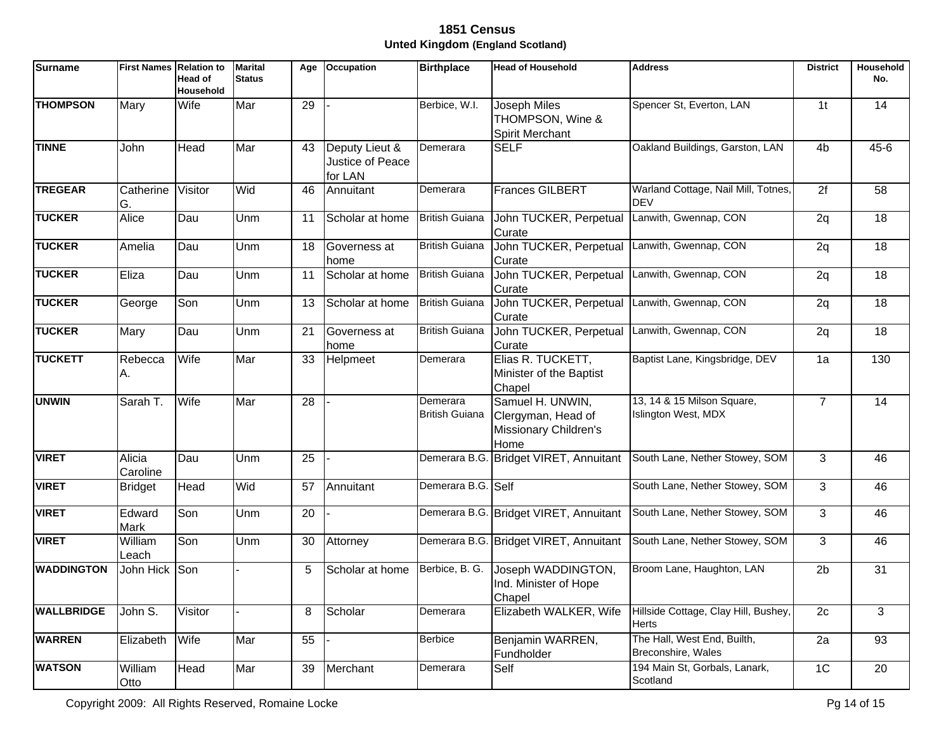| <b>Surname</b>    | <b>First Names</b> | <b>Relation to</b><br>Head of<br>Household | <b>Marital</b><br><b>Status</b> | Age | <b>Occupation</b>                             | <b>Birthplace</b>                 | <b>Head of Household</b>                                                | <b>Address</b>                                    | <b>District</b> | Household<br>No. |
|-------------------|--------------------|--------------------------------------------|---------------------------------|-----|-----------------------------------------------|-----------------------------------|-------------------------------------------------------------------------|---------------------------------------------------|-----------------|------------------|
| <b>THOMPSON</b>   | Mary               | Wife                                       | Mar                             | 29  |                                               | Berbice, W.I.                     | Joseph Miles<br>THOMPSON, Wine &<br>Spirit Merchant                     | Spencer St, Everton, LAN                          | 1 <sub>t</sub>  | 14               |
| <b>TINNE</b>      | John               | Head                                       | Mar                             | 43  | Deputy Lieut &<br>Justice of Peace<br>for LAN | Demerara                          | <b>SELF</b>                                                             | Oakland Buildings, Garston, LAN                   | 4 <sub>b</sub>  | $45 - 6$         |
| <b>TREGEAR</b>    | Catherine<br>G.    | Visitor                                    | Wid                             | 46  | Annuitant                                     | Demerara                          | Frances GILBERT                                                         | Warland Cottage, Nail Mill, Totnes,<br><b>DEV</b> | 2f              | 58               |
| <b>TUCKER</b>     | Alice              | Dau                                        | Unm                             | 11  | Scholar at home                               | <b>British Guiana</b>             | John TUCKER, Perpetual<br>Curate                                        | Lanwith, Gwennap, CON                             | 2q              | 18               |
| <b>TUCKER</b>     | Amelia             | Dau                                        | Unm                             | 18  | Governess at<br>home                          | <b>British Guiana</b>             | John TUCKER, Perpetual<br>Curate                                        | Lanwith, Gwennap, CON                             | 2q              | 18               |
| <b>TUCKER</b>     | Eliza              | Dau                                        | Unm                             | 11  | Scholar at home                               | <b>British Guiana</b>             | John TUCKER, Perpetual<br>Curate                                        | Lanwith, Gwennap, CON                             | 2q              | 18               |
| <b>TUCKER</b>     | George             | Son                                        | Unm                             | 13  | Scholar at home                               | <b>British Guiana</b>             | John TUCKER, Perpetual<br>Curate                                        | Lanwith, Gwennap, CON                             | 2q              | 18               |
| <b>TUCKER</b>     | Mary               | Dau                                        | Unm                             | 21  | Governess at<br>home                          | <b>British Guiana</b>             | John TUCKER, Perpetual<br>Curate                                        | Lanwith, Gwennap, CON                             | 2q              | 18               |
| <b>TUCKETT</b>    | Rebecca<br>Α.      | Wife                                       | Mar                             | 33  | Helpmeet                                      | Demerara                          | Elias R. TUCKETT,<br>Minister of the Baptist<br>Chapel                  | Baptist Lane, Kingsbridge, DEV                    | 1a              | 130              |
| <b>UNWIN</b>      | Sarah T.           | Wife                                       | Mar                             | 28  |                                               | Demerara<br><b>British Guiana</b> | Samuel H. UNWIN,<br>Clergyman, Head of<br>Missionary Children's<br>Home | 13, 14 & 15 Milson Square,<br>Islington West, MDX | $\overline{7}$  | 14               |
| <b>VIRET</b>      | Alicia<br>Caroline | Dau                                        | Unm                             | 25  |                                               |                                   | Demerara B.G. Bridget VIRET, Annuitant                                  | South Lane, Nether Stowey, SOM                    | 3               | 46               |
| <b>VIRET</b>      | <b>Bridget</b>     | Head                                       | Wid                             | 57  | Annuitant                                     | Demerara B.G. Self                |                                                                         | South Lane, Nether Stowey, SOM                    | 3               | 46               |
| <b>VIRET</b>      | Edward<br>Mark     | Son                                        | Unm                             | 20  |                                               |                                   | Demerara B.G. Bridget VIRET, Annuitant                                  | South Lane, Nether Stowey, SOM                    | 3               | 46               |
| <b>VIRET</b>      | William<br>Leach   | Son                                        | Unm                             | 30  | Attorney                                      |                                   | Demerara B.G. Bridget VIRET, Annuitant                                  | South Lane, Nether Stowey, SOM                    | 3               | 46               |
| <b>WADDINGTON</b> | John Hick Son      |                                            |                                 | 5   | Scholar at home                               | Berbice, B. G.                    | Joseph WADDINGTON,<br>Ind. Minister of Hope<br>Chapel                   | Broom Lane, Haughton, LAN                         | 2 <sub>b</sub>  | 31               |
| <b>WALLBRIDGE</b> | John S.            | Visitor                                    |                                 | 8   | Scholar                                       | Demerara                          | Elizabeth WALKER, Wife                                                  | Hillside Cottage, Clay Hill, Bushey,<br>Herts     | 2c              | 3                |
| <b>WARREN</b>     | Elizabeth          | Wife                                       | Mar                             | 55  |                                               | <b>Berbice</b>                    | Benjamin WARREN,<br>Fundholder                                          | The Hall, West End, Builth,<br>Breconshire, Wales | $\overline{2a}$ | $\overline{93}$  |
| <b>WATSON</b>     | William<br>Otto    | Head                                       | Mar                             | 39  | Merchant                                      | Demerara                          | Self                                                                    | 194 Main St, Gorbals, Lanark,<br>Scotland         | 1C              | 20               |